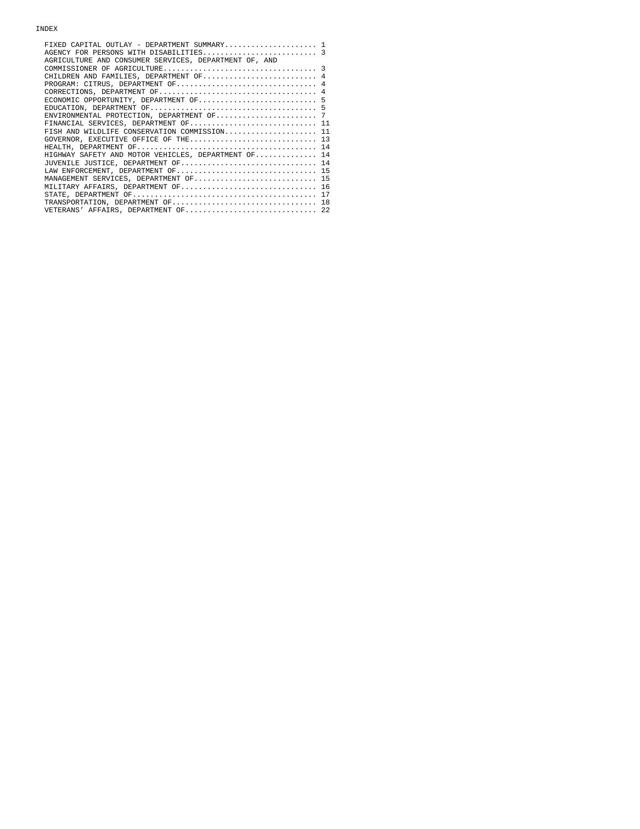| FIXED CAPITAL OUTLAY - DEPARTMENT SUMMARY 1           |  |
|-------------------------------------------------------|--|
| AGENCY FOR PERSONS WITH DISABILITIES 3                |  |
| AGRICULTURE AND CONSUMER SERVICES, DEPARTMENT OF, AND |  |
|                                                       |  |
| CHILDREN AND FAMILIES, DEPARTMENT OF 4                |  |
| PROGRAM: CITRUS, DEPARTMENT OF 4                      |  |
|                                                       |  |
| ECONOMIC OPPORTUNITY, DEPARTMENT OF 5                 |  |
|                                                       |  |
|                                                       |  |
| FINANCIAL SERVICES, DEPARTMENT OF 11                  |  |
| FISH AND WILDLIFE CONSERVATION COMMISSION 11          |  |
| GOVERNOR, EXECUTIVE OFFICE OF THE 13                  |  |
|                                                       |  |
| HIGHWAY SAFETY AND MOTOR VEHICLES, DEPARTMENT OF 14   |  |
| JUVENILE JUSTICE, DEPARTMENT OF 14                    |  |
| LAW ENFORCEMENT, DEPARTMENT OF 15                     |  |
| MANAGEMENT SERVICES, DEPARTMENT OF 15                 |  |
| MILITARY AFFAIRS, DEPARTMENT OF 16                    |  |
|                                                       |  |
| TRANSPORTATION, DEPARTMENT OF 18                      |  |
| VETERANS' AFFAIRS, DEPARTMENT OF 22                   |  |
|                                                       |  |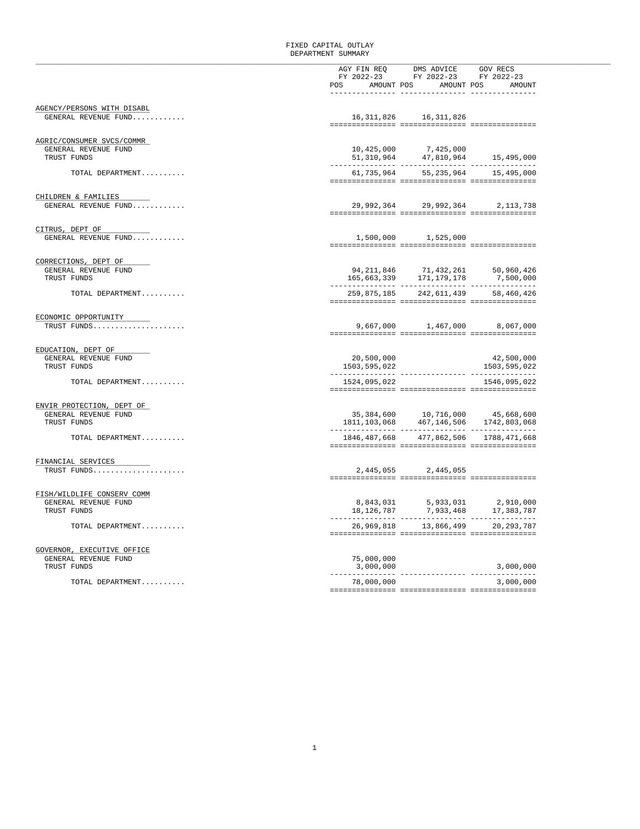## FIXED CAPITAL OUTLAY DEPARTMENT SUMMARY

|                                                    |                             | AGY FIN REQ DMS ADVICE GOV RECS<br>FY 2022-23 FY 2022-23 FY 2022-23                                                                            |              |
|----------------------------------------------------|-----------------------------|------------------------------------------------------------------------------------------------------------------------------------------------|--------------|
|                                                    |                             | POS AMOUNT POS AMOUNT POS AMOUNT                                                                                                               |              |
|                                                    | . _ _ _ _ _ _ _ _ _ _ _ _ _ | ---------- -----                                                                                                                               |              |
| AGENCY/PERSONS WITH DISABL<br>GENERAL REVENUE FUND |                             | 16, 311, 826 16, 311, 826                                                                                                                      |              |
|                                                    |                             |                                                                                                                                                |              |
| AGRIC/CONSUMER SVCS/COMMR                          |                             |                                                                                                                                                |              |
| GENERAL REVENUE FUND<br>TRUST FUNDS                |                             | $10,425,000$<br>51,310,964<br>47,810,964<br>47,810,964<br>15,495,000                                                                           |              |
| TOTAL DEPARTMENT                                   |                             | 61,735,964 55,235,964 15,495,000                                                                                                               |              |
|                                                    |                             |                                                                                                                                                |              |
| CHILDREN & FAMILIES<br>GENERAL REVENUE FUND        |                             | 29,992,364 29,992,364 2,113,738                                                                                                                |              |
|                                                    |                             |                                                                                                                                                |              |
| CITRUS, DEPT OF                                    |                             |                                                                                                                                                |              |
| GENERAL REVENUE FUND                               |                             | 1,500,000 1,525,000                                                                                                                            |              |
| CORRECTIONS, DEPT OF                               |                             |                                                                                                                                                |              |
| GENERAL REVENUE FUND                               |                             | ${\begin{array}{ccc}94,211,846 & \quad & 71,432,261 & \quad & 50,960,426 \\ 165,663,339 & \quad & 171,179,178 & \quad & 7,500,000\end{array}}$ |              |
| TRUST FUNDS                                        |                             |                                                                                                                                                |              |
| TOTAL DEPARTMENT                                   |                             | 259,875,185 242,611,439 58,460,426                                                                                                             |              |
| ECONOMIC OPPORTUNITY                               |                             |                                                                                                                                                |              |
| TRUST FUNDS                                        |                             | 9,667,000 1,467,000 8,067,000                                                                                                                  |              |
|                                                    |                             |                                                                                                                                                |              |
| EDUCATION, DEPT OF<br>GENERAL REVENUE FUND         | 20,500,000                  |                                                                                                                                                | 42,500,000   |
| TRUST FUNDS                                        | 1503,595,022                |                                                                                                                                                | 1503,595,022 |
| TOTAL DEPARTMENT                                   | 1524,095,022                |                                                                                                                                                | 1546,095,022 |
| ENVIR PROTECTION, DEPT OF                          |                             |                                                                                                                                                |              |
| GENERAL REVENUE FUND                               |                             | $35,384,600 \qquad 10,716,000 \qquad 45,668,600$ $1811,103,068 \qquad 467,146,506 \qquad 1742,803,068$                                         |              |
| TRUST FUNDS                                        |                             |                                                                                                                                                |              |
| TOTAL DEPARTMENT                                   |                             | 1846, 487, 668 477, 862, 506 1788, 471, 668                                                                                                    |              |
| FINANCIAL SERVICES                                 |                             |                                                                                                                                                |              |
| TRUST FUNDS                                        |                             | 2,445,055 2,445,055                                                                                                                            |              |
|                                                    |                             |                                                                                                                                                |              |
| FISH/WILDLIFE CONSERV COMM<br>GENERAL REVENUE FUND |                             | 8,843,031 5,933,031 2,910,000<br>18,126,787 7,933,468 17,383,787                                                                               |              |
| TRUST FUNDS                                        |                             |                                                                                                                                                |              |
| TOTAL DEPARTMENT                                   |                             | 26,969,818 13,866,499 20,293,787                                                                                                               |              |
| GOVERNOR, EXECUTIVE OFFICE                         |                             |                                                                                                                                                |              |
| GENERAL REVENUE FUND                               | 75,000,000                  |                                                                                                                                                |              |
| TRUST FUNDS                                        | 3,000,000                   |                                                                                                                                                | 3,000,000    |
| TOTAL DEPARTMENT                                   | 78,000,000                  |                                                                                                                                                | 3,000,000    |
|                                                    |                             |                                                                                                                                                |              |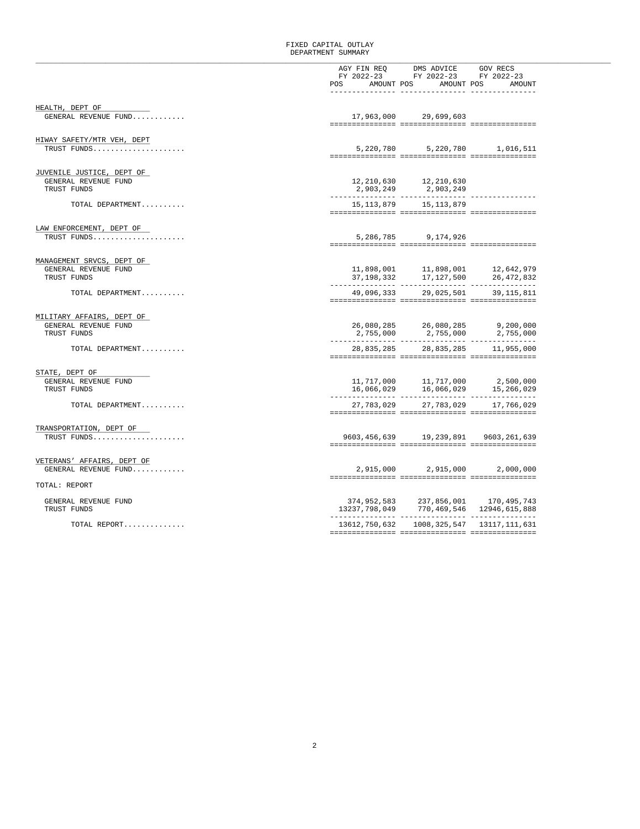## FIXED CAPITAL OUTLAY DEPARTMENT SUMMARY

|                                     |            | AGY FIN REQ DMS ADVICE GOV RECS                                                                                                                 |  |
|-------------------------------------|------------|-------------------------------------------------------------------------------------------------------------------------------------------------|--|
|                                     | FY 2022-23 | FY 2022-23 FY 2022-23                                                                                                                           |  |
|                                     |            | POS AMOUNT POS AMOUNT POS AMOUNT                                                                                                                |  |
|                                     |            |                                                                                                                                                 |  |
| HEALTH, DEPT OF                     |            |                                                                                                                                                 |  |
| GENERAL REVENUE FUND                |            | 17,963,000 29,699,603                                                                                                                           |  |
|                                     |            |                                                                                                                                                 |  |
| HIWAY SAFETY/MTR VEH, DEPT          |            |                                                                                                                                                 |  |
| TRUST FUNDS                         |            | 5,220,780 5,220,780 1,016,511                                                                                                                   |  |
|                                     |            |                                                                                                                                                 |  |
| JUVENILE JUSTICE, DEPT OF           |            |                                                                                                                                                 |  |
| GENERAL REVENUE FUND                |            |                                                                                                                                                 |  |
| TRUST FUNDS                         |            | 12, 210, 630<br>2, 903, 249<br>2, 903, 249<br>2, 903, 249                                                                                       |  |
| TOTAL DEPARTMENT                    |            | 15, 113, 879 15, 113, 879                                                                                                                       |  |
|                                     |            |                                                                                                                                                 |  |
| LAW ENFORCEMENT, DEPT OF            |            |                                                                                                                                                 |  |
| TRUST FUNDS                         |            | 5,286,785 9,174,926                                                                                                                             |  |
|                                     |            |                                                                                                                                                 |  |
| MANAGEMENT SRVCS, DEPT OF           |            |                                                                                                                                                 |  |
| GENERAL REVENUE FUND                |            |                                                                                                                                                 |  |
| TRUST FUNDS                         |            | $\begin{array}{lllll} 11,898,001 & \quad & 11,898,001 & \quad & 12,642,979 \\ 37,198,332 & \quad & 17,127,500 & \quad & 26,472,832 \end{array}$ |  |
|                                     |            |                                                                                                                                                 |  |
| TOTAL DEPARTMENT                    |            | 49,096,333 29,025,501 39,115,811                                                                                                                |  |
|                                     |            |                                                                                                                                                 |  |
| MILITARY AFFAIRS, DEPT OF           |            |                                                                                                                                                 |  |
| GENERAL REVENUE FUND<br>TRUST FUNDS |            |                                                                                                                                                 |  |
|                                     |            |                                                                                                                                                 |  |
| TOTAL DEPARTMENT                    |            | 28,835,285 28,835,285 11,955,000                                                                                                                |  |
|                                     |            |                                                                                                                                                 |  |
| STATE, DEPT OF                      |            |                                                                                                                                                 |  |
| GENERAL REVENUE FUND                |            |                                                                                                                                                 |  |
| TRUST FUNDS                         |            |                                                                                                                                                 |  |
| TOTAL DEPARTMENT                    |            | 27, 783, 029 27, 783, 029 17, 766, 029                                                                                                          |  |
|                                     |            |                                                                                                                                                 |  |
| TRANSPORTATION, DEPT OF             |            |                                                                                                                                                 |  |
| TRUST FUNDS                         |            | 9603, 456, 639 19, 239, 891 9603, 261, 639                                                                                                      |  |
|                                     |            |                                                                                                                                                 |  |
| VETERANS' AFFAIRS, DEPT OF          |            |                                                                                                                                                 |  |
| GENERAL REVENUE FUND                |            | 2,915,000 2,915,000 2,000,000                                                                                                                   |  |
| TOTAL: REPORT                       |            |                                                                                                                                                 |  |
|                                     |            |                                                                                                                                                 |  |
| GENERAL REVENUE FUND<br>TRUST FUNDS |            | $374,952,583 \qquad 237,856,001 \qquad 170,495,743$<br>$13237,798,049 \qquad 770,469,546 \qquad 12946,615,888$                                  |  |
|                                     |            |                                                                                                                                                 |  |
| TOTAL REPORT                        |            | 13612, 750, 632 1008, 325, 547 13117, 111, 631                                                                                                  |  |
|                                     |            |                                                                                                                                                 |  |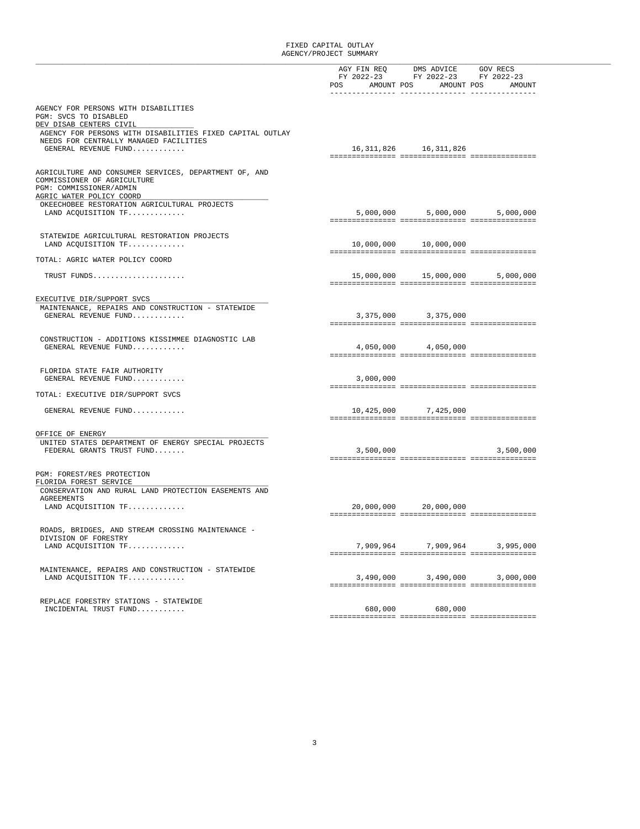|                                                                           |           | AGY FIN REQ DMS ADVICE GOV RECS  |           |
|---------------------------------------------------------------------------|-----------|----------------------------------|-----------|
|                                                                           |           | FY 2022-23 FY 2022-23 FY 2022-23 |           |
|                                                                           | POS       | AMOUNT POS AMOUNT POS            | AMOUNT    |
| AGENCY FOR PERSONS WITH DISABILITIES                                      |           |                                  |           |
| PGM: SVCS TO DISABLED                                                     |           |                                  |           |
| DEV DISAB CENTERS CIVIL                                                   |           |                                  |           |
| AGENCY FOR PERSONS WITH DISABILITIES FIXED CAPITAL OUTLAY                 |           |                                  |           |
| NEEDS FOR CENTRALLY MANAGED FACILITIES                                    |           |                                  |           |
| GENERAL REVENUE FUND                                                      |           | 16, 311, 826 16, 311, 826        |           |
|                                                                           |           |                                  |           |
| AGRICULTURE AND CONSUMER SERVICES, DEPARTMENT OF, AND                     |           |                                  |           |
| COMMISSIONER OF AGRICULTURE                                               |           |                                  |           |
| PGM: COMMISSIONER/ADMIN                                                   |           |                                  |           |
| AGRIC WATER POLICY COORD<br>OKEECHOBEE RESTORATION AGRICULTURAL PROJECTS  |           |                                  |           |
| LAND ACQUISITION TF                                                       |           | 5,000,000 5,000,000 5,000,000    |           |
|                                                                           |           |                                  |           |
|                                                                           |           |                                  |           |
| STATEWIDE AGRICULTURAL RESTORATION PROJECTS                               |           |                                  |           |
| LAND ACQUISITION TF                                                       |           | 10,000,000 10,000,000            |           |
| TOTAL: AGRIC WATER POLICY COORD                                           |           |                                  |           |
|                                                                           |           |                                  |           |
| TRUST FUNDS                                                               |           | 15,000,000 15,000,000 5,000,000  |           |
|                                                                           |           |                                  |           |
| EXECUTIVE DIR/SUPPORT SVCS                                                |           |                                  |           |
| MAINTENANCE, REPAIRS AND CONSTRUCTION - STATEWIDE                         |           |                                  |           |
| GENERAL REVENUE FUND                                                      |           | 3,375,000 3,375,000              |           |
|                                                                           |           |                                  |           |
|                                                                           |           |                                  |           |
| CONSTRUCTION - ADDITIONS KISSIMMEE DIAGNOSTIC LAB<br>GENERAL REVENUE FUND |           | 4,050,000 4,050,000              |           |
|                                                                           |           |                                  |           |
|                                                                           |           |                                  |           |
| FLORIDA STATE FAIR AUTHORITY                                              |           |                                  |           |
| GENERAL REVENUE FUND                                                      | 3,000,000 |                                  |           |
| TOTAL: EXECUTIVE DIR/SUPPORT SVCS                                         |           |                                  |           |
| GENERAL REVENUE FUND                                                      |           | 10,425,000 7,425,000             |           |
|                                                                           |           |                                  |           |
|                                                                           |           |                                  |           |
| OFFICE OF ENERGY                                                          |           |                                  |           |
| UNITED STATES DEPARTMENT OF ENERGY SPECIAL PROJECTS                       |           |                                  |           |
| FEDERAL GRANTS TRUST FUND                                                 |           | 3,500,000                        | 3,500,000 |
|                                                                           |           |                                  |           |
| PGM: FOREST/RES PROTECTION                                                |           |                                  |           |
| FLORIDA FOREST SERVICE                                                    |           |                                  |           |
| CONSERVATION AND RURAL LAND PROTECTION EASEMENTS AND                      |           |                                  |           |
| AGREEMENTS<br>LAND ACQUISITION TF                                         |           | 20,000,000 20,000,000            |           |
|                                                                           |           |                                  |           |
|                                                                           |           |                                  |           |
| ROADS, BRIDGES, AND STREAM CROSSING MAINTENANCE -                         |           |                                  |           |
| DIVISION OF FORESTRY                                                      |           |                                  |           |
| LAND ACQUISITION TF                                                       | 7,909,964 | 7,909,964                        | 3,995,000 |
|                                                                           |           |                                  |           |
| MAINTENANCE, REPAIRS AND CONSTRUCTION - STATEWIDE                         |           |                                  |           |
| LAND ACQUISITION TF                                                       | 3,490,000 | 3,490,000                        | 3,000,000 |
|                                                                           |           |                                  |           |
| REPLACE FORESTRY STATIONS - STATEWIDE                                     |           |                                  |           |
| INCIDENTAL TRUST FUND                                                     | 680,000   | 680,000                          |           |
|                                                                           |           |                                  |           |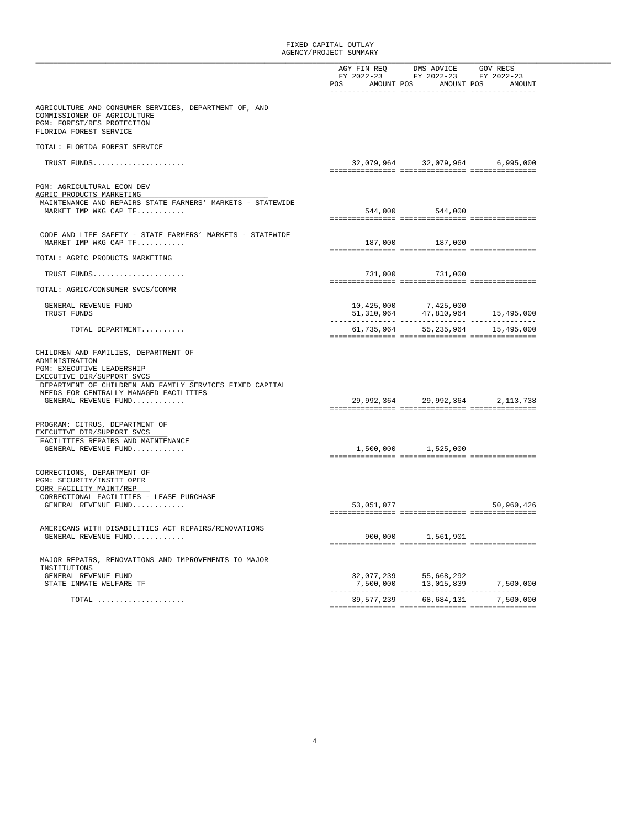|                                                                                      |            | AGY FIN REO DMS ADVICE GOV RECS                                                                        |            |
|--------------------------------------------------------------------------------------|------------|--------------------------------------------------------------------------------------------------------|------------|
|                                                                                      |            | FY 2022-23 FY 2022-23 FY 2022-23                                                                       |            |
|                                                                                      | POS        | AMOUNT POS AMOUNT POS                                                                                  | AMOUNT     |
| AGRICULTURE AND CONSUMER SERVICES, DEPARTMENT OF, AND<br>COMMISSIONER OF AGRICULTURE |            |                                                                                                        |            |
| PGM: FOREST/RES PROTECTION<br>FLORIDA FOREST SERVICE                                 |            |                                                                                                        |            |
| TOTAL: FLORIDA FOREST SERVICE                                                        |            |                                                                                                        |            |
| TRUST FUNDS                                                                          |            | 32,079,964 32,079,964 6,995,000                                                                        |            |
| PGM: AGRICULTURAL ECON DEV<br>AGRIC PRODUCTS MARKETING                               |            |                                                                                                        |            |
| MAINTENANCE AND REPAIRS STATE FARMERS' MARKETS - STATEWIDE                           |            |                                                                                                        |            |
| MARKET IMP WKG CAP TF                                                                |            | 544,000 544,000                                                                                        |            |
|                                                                                      |            |                                                                                                        |            |
| CODE AND LIFE SAFETY - STATE FARMERS' MARKETS - STATEWIDE<br>MARKET IMP WKG CAP TF   |            | 187,000 187,000                                                                                        |            |
| TOTAL: AGRIC PRODUCTS MARKETING                                                      |            |                                                                                                        |            |
| TRUST FUNDS                                                                          |            | 731,000 731,000                                                                                        |            |
| TOTAL: AGRIC/CONSUMER SVCS/COMMR                                                     |            |                                                                                                        |            |
| GENERAL REVENUE FUND                                                                 |            | $10,425,000 \qquad \qquad 7,425,000$<br>$51,310,964 \qquad \qquad 47,810,964 \qquad \qquad 15,495,000$ |            |
| TRUST FUNDS                                                                          |            |                                                                                                        |            |
| TOTAL DEPARTMENT                                                                     |            | 61,735,964 55,235,964 15,495,000                                                                       |            |
|                                                                                      |            |                                                                                                        |            |
| CHILDREN AND FAMILIES, DEPARTMENT OF<br>ADMINISTRATION                               |            |                                                                                                        |            |
| PGM: EXECUTIVE LEADERSHIP                                                            |            |                                                                                                        |            |
| EXECUTIVE DIR/SUPPORT SVCS                                                           |            |                                                                                                        |            |
| DEPARTMENT OF CHILDREN AND FAMILY SERVICES FIXED CAPITAL                             |            |                                                                                                        |            |
| NEEDS FOR CENTRALLY MANAGED FACILITIES<br>GENERAL REVENUE FUND                       |            | 29,992,364 29,992,364 2,113,738                                                                        |            |
|                                                                                      |            |                                                                                                        |            |
| PROGRAM: CITRUS, DEPARTMENT OF                                                       |            |                                                                                                        |            |
| EXECUTIVE DIR/SUPPORT SVCS                                                           |            |                                                                                                        |            |
| FACILITIES REPAIRS AND MAINTENANCE                                                   |            |                                                                                                        |            |
| GENERAL REVENUE FUND                                                                 |            | 1,500,000 1,525,000                                                                                    |            |
| CORRECTIONS, DEPARTMENT OF                                                           |            |                                                                                                        |            |
| PGM: SECURITY/INSTIT OPER<br>CORR FACILITY MAINT/REP                                 |            |                                                                                                        |            |
| CORRECTIONAL FACILITIES - LEASE PURCHASE                                             |            |                                                                                                        |            |
| GENERAL REVENUE FUND                                                                 | 53,051,077 |                                                                                                        | 50,960,426 |
|                                                                                      |            |                                                                                                        |            |
| AMERICANS WITH DISABILITIES ACT REPAIRS/RENOVATIONS                                  |            |                                                                                                        |            |
| GENERAL REVENUE FUND                                                                 | 900,000    | 1,561,901                                                                                              |            |
| MAJOR REPAIRS, RENOVATIONS AND IMPROVEMENTS TO MAJOR                                 |            |                                                                                                        |            |
| INSTITUTIONS                                                                         |            |                                                                                                        |            |
| GENERAL REVENUE FUND                                                                 | 32,077,239 | 55,668,292                                                                                             |            |
| STATE INMATE WELFARE TF                                                              | 7,500,000  | 13,015,839                                                                                             | 7,500,000  |
| $\texttt{TOTAL}$                                                                     | 39,577,239 | 68,684,131                                                                                             | 7,500,000  |
|                                                                                      |            |                                                                                                        |            |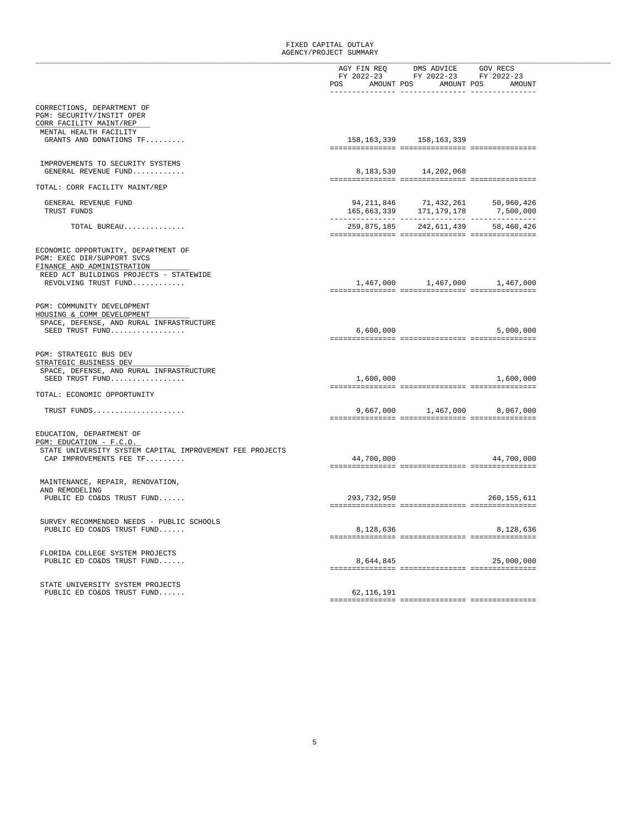|                                                          |                                                                                                                                                                                                                                                                                                                                                                                                                       | AGY FIN REQ DMS ADVICE GOV RECS<br>FY 2022-23 FY 2022-23 FY 2022-23 |                                    |
|----------------------------------------------------------|-----------------------------------------------------------------------------------------------------------------------------------------------------------------------------------------------------------------------------------------------------------------------------------------------------------------------------------------------------------------------------------------------------------------------|---------------------------------------------------------------------|------------------------------------|
|                                                          | POS AMOUNT POS AMOUNT POS                                                                                                                                                                                                                                                                                                                                                                                             |                                                                     | AMOUNT                             |
|                                                          |                                                                                                                                                                                                                                                                                                                                                                                                                       |                                                                     |                                    |
|                                                          |                                                                                                                                                                                                                                                                                                                                                                                                                       |                                                                     |                                    |
| CORRECTIONS, DEPARTMENT OF                               |                                                                                                                                                                                                                                                                                                                                                                                                                       |                                                                     |                                    |
| PGM: SECURITY/INSTIT OPER                                |                                                                                                                                                                                                                                                                                                                                                                                                                       |                                                                     |                                    |
| CORR FACILITY MAINT/REP                                  |                                                                                                                                                                                                                                                                                                                                                                                                                       |                                                                     |                                    |
| MENTAL HEALTH FACILITY                                   |                                                                                                                                                                                                                                                                                                                                                                                                                       |                                                                     |                                    |
| GRANTS AND DONATIONS TF                                  |                                                                                                                                                                                                                                                                                                                                                                                                                       | 158, 163, 339 158, 163, 339                                         |                                    |
|                                                          |                                                                                                                                                                                                                                                                                                                                                                                                                       |                                                                     |                                    |
|                                                          |                                                                                                                                                                                                                                                                                                                                                                                                                       |                                                                     |                                    |
| IMPROVEMENTS TO SECURITY SYSTEMS                         |                                                                                                                                                                                                                                                                                                                                                                                                                       |                                                                     |                                    |
| GENERAL REVENUE FUND                                     | 8,183,530                                                                                                                                                                                                                                                                                                                                                                                                             | 14,202,068                                                          |                                    |
|                                                          |                                                                                                                                                                                                                                                                                                                                                                                                                       |                                                                     |                                    |
| TOTAL: CORR FACILITY MAINT/REP                           |                                                                                                                                                                                                                                                                                                                                                                                                                       |                                                                     |                                    |
|                                                          |                                                                                                                                                                                                                                                                                                                                                                                                                       |                                                                     |                                    |
| GENERAL REVENUE FUND                                     |                                                                                                                                                                                                                                                                                                                                                                                                                       | 71,432,261                                                          | 50,960,426                         |
| TRUST FUNDS                                              |                                                                                                                                                                                                                                                                                                                                                                                                                       | 94, 211, 846 71, 432, 261<br>165, 663, 339 171, 179, 178            | 7,500,000                          |
|                                                          |                                                                                                                                                                                                                                                                                                                                                                                                                       |                                                                     |                                    |
| TOTAL BUREAU                                             |                                                                                                                                                                                                                                                                                                                                                                                                                       |                                                                     | 259,875,185 242,611,439 58,460,426 |
|                                                          |                                                                                                                                                                                                                                                                                                                                                                                                                       |                                                                     |                                    |
|                                                          |                                                                                                                                                                                                                                                                                                                                                                                                                       |                                                                     |                                    |
| ECONOMIC OPPORTUNITY, DEPARTMENT OF                      |                                                                                                                                                                                                                                                                                                                                                                                                                       |                                                                     |                                    |
| PGM: EXEC DIR/SUPPORT SVCS                               |                                                                                                                                                                                                                                                                                                                                                                                                                       |                                                                     |                                    |
| FINANCE AND ADMINISTRATION                               |                                                                                                                                                                                                                                                                                                                                                                                                                       |                                                                     |                                    |
| REED ACT BUILDINGS PROJECTS - STATEWIDE                  |                                                                                                                                                                                                                                                                                                                                                                                                                       |                                                                     |                                    |
| REVOLVING TRUST FUND                                     |                                                                                                                                                                                                                                                                                                                                                                                                                       | 1,467,000 1,467,000                                                 | 1,467,000                          |
|                                                          |                                                                                                                                                                                                                                                                                                                                                                                                                       |                                                                     |                                    |
|                                                          |                                                                                                                                                                                                                                                                                                                                                                                                                       |                                                                     |                                    |
| PGM: COMMUNITY DEVELOPMENT                               |                                                                                                                                                                                                                                                                                                                                                                                                                       |                                                                     |                                    |
| HOUSING & COMM DEVELOPMENT                               |                                                                                                                                                                                                                                                                                                                                                                                                                       |                                                                     |                                    |
| SPACE, DEFENSE, AND RURAL INFRASTRUCTURE                 |                                                                                                                                                                                                                                                                                                                                                                                                                       |                                                                     |                                    |
| SEED TRUST FUND                                          | 6,600,000                                                                                                                                                                                                                                                                                                                                                                                                             |                                                                     | 5,000,000                          |
|                                                          |                                                                                                                                                                                                                                                                                                                                                                                                                       |                                                                     |                                    |
|                                                          |                                                                                                                                                                                                                                                                                                                                                                                                                       |                                                                     |                                    |
| PGM: STRATEGIC BUS DEV                                   |                                                                                                                                                                                                                                                                                                                                                                                                                       |                                                                     |                                    |
| STRATEGIC BUSINESS DEV                                   |                                                                                                                                                                                                                                                                                                                                                                                                                       |                                                                     |                                    |
| SPACE, DEFENSE, AND RURAL INFRASTRUCTURE                 |                                                                                                                                                                                                                                                                                                                                                                                                                       |                                                                     |                                    |
| SEED TRUST FUND                                          | 1,600,000                                                                                                                                                                                                                                                                                                                                                                                                             |                                                                     | 1,600,000                          |
|                                                          |                                                                                                                                                                                                                                                                                                                                                                                                                       |                                                                     |                                    |
| TOTAL: ECONOMIC OPPORTUNITY                              |                                                                                                                                                                                                                                                                                                                                                                                                                       |                                                                     |                                    |
|                                                          |                                                                                                                                                                                                                                                                                                                                                                                                                       |                                                                     |                                    |
| TRUST FUNDS                                              |                                                                                                                                                                                                                                                                                                                                                                                                                       |                                                                     | 9,667,000 1,467,000 8,067,000      |
|                                                          |                                                                                                                                                                                                                                                                                                                                                                                                                       |                                                                     |                                    |
|                                                          |                                                                                                                                                                                                                                                                                                                                                                                                                       |                                                                     |                                    |
| EDUCATION, DEPARTMENT OF                                 |                                                                                                                                                                                                                                                                                                                                                                                                                       |                                                                     |                                    |
| PGM: EDUCATION - F.C.O.                                  |                                                                                                                                                                                                                                                                                                                                                                                                                       |                                                                     |                                    |
| STATE UNIVERSITY SYSTEM CAPITAL IMPROVEMENT FEE PROJECTS |                                                                                                                                                                                                                                                                                                                                                                                                                       |                                                                     |                                    |
| CAP IMPROVEMENTS FEE TF                                  | 44,700,000                                                                                                                                                                                                                                                                                                                                                                                                            |                                                                     | 44,700,000                         |
|                                                          |                                                                                                                                                                                                                                                                                                                                                                                                                       |                                                                     |                                    |
|                                                          |                                                                                                                                                                                                                                                                                                                                                                                                                       |                                                                     |                                    |
| MAINTENANCE, REPAIR, RENOVATION,                         |                                                                                                                                                                                                                                                                                                                                                                                                                       |                                                                     |                                    |
| AND REMODELING                                           |                                                                                                                                                                                                                                                                                                                                                                                                                       |                                                                     |                                    |
| PUBLIC ED CO&DS TRUST FUND                               | 293,732,950                                                                                                                                                                                                                                                                                                                                                                                                           |                                                                     | 260,155,611                        |
|                                                          |                                                                                                                                                                                                                                                                                                                                                                                                                       |                                                                     |                                    |
|                                                          |                                                                                                                                                                                                                                                                                                                                                                                                                       |                                                                     |                                    |
| SURVEY RECOMMENDED NEEDS - PUBLIC SCHOOLS                |                                                                                                                                                                                                                                                                                                                                                                                                                       |                                                                     |                                    |
| PUBLIC ED CO&DS TRUST FUND                               | 8,128,636                                                                                                                                                                                                                                                                                                                                                                                                             |                                                                     | 8,128,636                          |
|                                                          |                                                                                                                                                                                                                                                                                                                                                                                                                       |                                                                     |                                    |
|                                                          |                                                                                                                                                                                                                                                                                                                                                                                                                       |                                                                     |                                    |
| FLORIDA COLLEGE SYSTEM PROJECTS                          |                                                                                                                                                                                                                                                                                                                                                                                                                       |                                                                     |                                    |
| PUBLIC ED CO&DS TRUST FUND                               | 8,644,845                                                                                                                                                                                                                                                                                                                                                                                                             |                                                                     | 25,000,000                         |
|                                                          |                                                                                                                                                                                                                                                                                                                                                                                                                       |                                                                     |                                    |
|                                                          |                                                                                                                                                                                                                                                                                                                                                                                                                       |                                                                     |                                    |
| STATE UNIVERSITY SYSTEM PROJECTS                         |                                                                                                                                                                                                                                                                                                                                                                                                                       |                                                                     |                                    |
| PUBLIC ED CO&DS TRUST FUND                               | 62,116,191                                                                                                                                                                                                                                                                                                                                                                                                            |                                                                     |                                    |
|                                                          | $\verb c  = \verb c  + \verb c  + \verb c  + \verb c  + \verb c  + \verb c  + \verb c  + \verb c  + \verb c  + \verb c  + \verb c  + \verb c  + \verb c  + \verb c  + \verb c  + \verb c  + \verb c  + \verb c  + \verb c  + \verb c  + \verb c  + \verb c  + \verb c  + \verb c  + \verb c  + \verb c  + \verb c  + \verb c  + \verb c  + \verb c  + \verb c  + \verb c  + \verb c  + \verb c  + \verb c  + \verb c$ |                                                                     |                                    |
|                                                          |                                                                                                                                                                                                                                                                                                                                                                                                                       |                                                                     |                                    |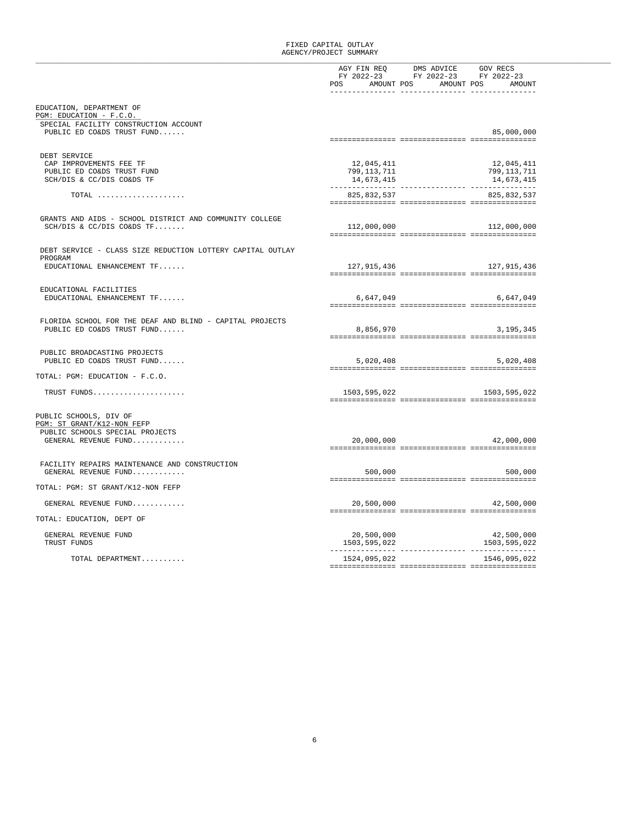|                                                                                                |                           | AGY FIN REQ DMS ADVICE GOV RECS<br>FY 2022-23 FY 2022-23 FY 2022-23<br>POS AMOUNT POS AMOUNT POS AMOUNT |                           |
|------------------------------------------------------------------------------------------------|---------------------------|---------------------------------------------------------------------------------------------------------|---------------------------|
| EDUCATION, DEPARTMENT OF                                                                       |                           |                                                                                                         |                           |
| PGM: EDUCATION - F.C.O.<br>SPECIAL FACILITY CONSTRUCTION ACCOUNT<br>PUBLIC ED CO&DS TRUST FUND |                           |                                                                                                         | 85,000,000                |
|                                                                                                |                           |                                                                                                         |                           |
| DEBT SERVICE                                                                                   |                           |                                                                                                         |                           |
| CAP IMPROVEMENTS FEE TF<br>PUBLIC ED CO&DS TRUST FUND                                          | 12,045,411<br>799,113,711 |                                                                                                         | 12,045,411<br>799,113,711 |
| SCH/DIS & CC/DIS CO&DS TF                                                                      | 14,673,415                |                                                                                                         | 14,673,415                |
| $\texttt{TOTAL}$                                                                               | 825,832,537               |                                                                                                         | 825,832,537               |
|                                                                                                |                           |                                                                                                         |                           |
| GRANTS AND AIDS - SCHOOL DISTRICT AND COMMUNITY COLLEGE                                        |                           |                                                                                                         |                           |
| $SCH/DIS & CC/DIS CO&DS TF$                                                                    | 112,000,000               |                                                                                                         | 112,000,000               |
| DEBT SERVICE - CLASS SIZE REDUCTION LOTTERY CAPITAL OUTLAY                                     |                           |                                                                                                         |                           |
| PROGRAM                                                                                        |                           |                                                                                                         |                           |
| EDUCATIONAL ENHANCEMENT TF                                                                     | 127,915,436               |                                                                                                         | 127,915,436               |
| EDUCATIONAL FACILITIES                                                                         |                           |                                                                                                         |                           |
| EDUCATIONAL ENHANCEMENT TF                                                                     | 6,647,049                 |                                                                                                         | 6,647,049                 |
|                                                                                                |                           |                                                                                                         |                           |
| FLORIDA SCHOOL FOR THE DEAF AND BLIND - CAPITAL PROJECTS<br>PUBLIC ED CO&DS TRUST FUND         | 8,856,970                 |                                                                                                         | 3,195,345                 |
|                                                                                                |                           |                                                                                                         |                           |
| PUBLIC BROADCASTING PROJECTS                                                                   |                           |                                                                                                         |                           |
| PUBLIC ED CO&DS TRUST FUND                                                                     | 5,020,408                 |                                                                                                         | 5,020,408                 |
| TOTAL: PGM: EDUCATION - F.C.O.                                                                 |                           |                                                                                                         |                           |
| TRUST FUNDS                                                                                    |                           | 1503,595,022 1503,595,022                                                                               |                           |
|                                                                                                |                           |                                                                                                         |                           |
| PUBLIC SCHOOLS, DIV OF                                                                         |                           |                                                                                                         |                           |
| PGM: ST GRANT/K12-NON FEFP<br>PUBLIC SCHOOLS SPECIAL PROJECTS                                  |                           |                                                                                                         |                           |
| GENERAL REVENUE FUND                                                                           | 20,000,000                |                                                                                                         | 42,000,000                |
|                                                                                                |                           |                                                                                                         |                           |
| FACILITY REPAIRS MAINTENANCE AND CONSTRUCTION                                                  |                           |                                                                                                         |                           |
| GENERAL REVENUE FUND                                                                           | 500,000                   |                                                                                                         | 500,000                   |
| TOTAL: PGM: ST GRANT/K12-NON FEFP                                                              |                           |                                                                                                         |                           |
| GENERAL REVENUE FUND                                                                           | 20,500,000                |                                                                                                         | 42,500,000                |
| TOTAL: EDUCATION, DEPT OF                                                                      |                           |                                                                                                         |                           |
| GENERAL REVENUE FUND                                                                           | 20,500,000                |                                                                                                         | 42,500,000                |
| TRUST FUNDS                                                                                    | 1503,595,022              |                                                                                                         | 1503,595,022              |
| TOTAL DEPARTMENT                                                                               | 1524,095,022              |                                                                                                         | 1546,095,022              |
|                                                                                                |                           |                                                                                                         |                           |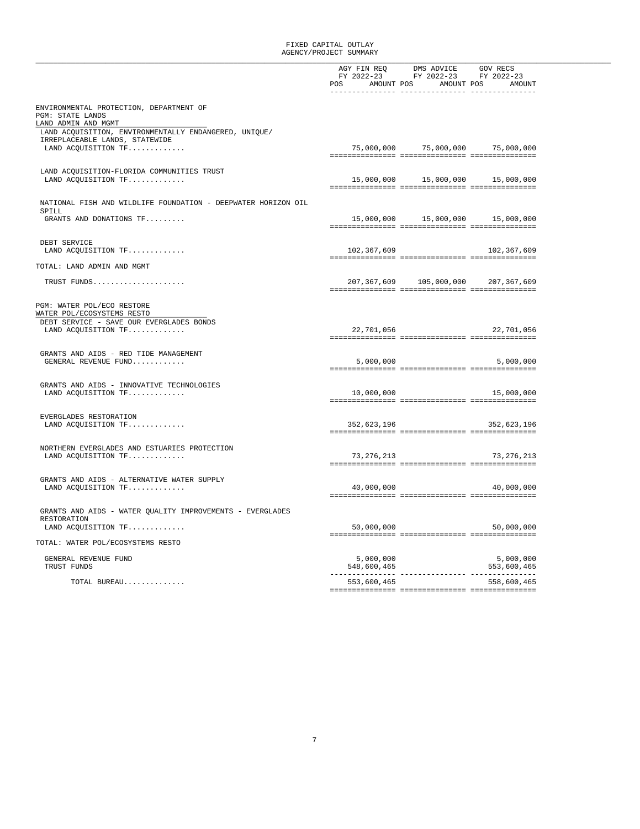|                                                                     |                                  | $\begin{tabular}{llllll} \bf AGY \,\, FIN \,\, REQ &\hspace{0.2cm} DMS \,\, ADVICE &\hspace{0.2cm} GOV \,\, RECS \\ \bf FY & \hspace{0.2cm} 2022-23 &\hspace{0.2cm} FY & \hspace{0.2cm} 2022-23 \\ \end{tabular}$ |                                      |  |
|---------------------------------------------------------------------|----------------------------------|-------------------------------------------------------------------------------------------------------------------------------------------------------------------------------------------------------------------|--------------------------------------|--|
|                                                                     |                                  |                                                                                                                                                                                                                   |                                      |  |
|                                                                     | POS AMOUNT POS AMOUNT POS AMOUNT |                                                                                                                                                                                                                   |                                      |  |
|                                                                     |                                  |                                                                                                                                                                                                                   |                                      |  |
| ENVIRONMENTAL PROTECTION, DEPARTMENT OF<br>PGM: STATE LANDS         |                                  |                                                                                                                                                                                                                   |                                      |  |
| LAND ADMIN AND MGMT                                                 |                                  |                                                                                                                                                                                                                   |                                      |  |
| LAND ACQUISITION, ENVIRONMENTALLY ENDANGERED, UNIQUE/               |                                  |                                                                                                                                                                                                                   |                                      |  |
| IRREPLACEABLE LANDS, STATEWIDE                                      |                                  |                                                                                                                                                                                                                   |                                      |  |
| LAND ACQUISITION TF                                                 |                                  |                                                                                                                                                                                                                   | 75,000,000 75,000,000 75,000,000     |  |
|                                                                     |                                  |                                                                                                                                                                                                                   |                                      |  |
| LAND ACQUISITION-FLORIDA COMMUNITIES TRUST                          |                                  |                                                                                                                                                                                                                   |                                      |  |
| LAND ACQUISITION TF                                                 |                                  |                                                                                                                                                                                                                   | 15,000,000  15,000,000  15,000,000   |  |
|                                                                     |                                  |                                                                                                                                                                                                                   |                                      |  |
| NATIONAL FISH AND WILDLIFE FOUNDATION - DEEPWATER HORIZON OIL       |                                  |                                                                                                                                                                                                                   |                                      |  |
| SPILL                                                               |                                  |                                                                                                                                                                                                                   |                                      |  |
| GRANTS AND DONATIONS TF                                             |                                  |                                                                                                                                                                                                                   | 15,000,000   15,000,000   15,000,000 |  |
|                                                                     |                                  |                                                                                                                                                                                                                   |                                      |  |
| DEBT SERVICE                                                        |                                  |                                                                                                                                                                                                                   |                                      |  |
| LAND ACQUISITION TF                                                 | 102,367,609                      |                                                                                                                                                                                                                   | 102,367,609                          |  |
| TOTAL: LAND ADMIN AND MGMT                                          |                                  |                                                                                                                                                                                                                   |                                      |  |
|                                                                     |                                  |                                                                                                                                                                                                                   |                                      |  |
| TRUST FUNDS                                                         |                                  |                                                                                                                                                                                                                   | 207,367,609 105,000,000 207,367,609  |  |
|                                                                     |                                  |                                                                                                                                                                                                                   |                                      |  |
| PGM: WATER POL/ECO RESTORE                                          |                                  |                                                                                                                                                                                                                   |                                      |  |
| WATER POL/ECOSYSTEMS RESTO                                          |                                  |                                                                                                                                                                                                                   |                                      |  |
| DEBT SERVICE - SAVE OUR EVERGLADES BONDS                            |                                  |                                                                                                                                                                                                                   |                                      |  |
| LAND ACQUISITION TF                                                 | 22,701,056                       |                                                                                                                                                                                                                   | 22,701,056                           |  |
|                                                                     |                                  |                                                                                                                                                                                                                   |                                      |  |
| GRANTS AND AIDS - RED TIDE MANAGEMENT                               |                                  |                                                                                                                                                                                                                   |                                      |  |
| GENERAL REVENUE FUND                                                | 5,000,000                        |                                                                                                                                                                                                                   | 5,000,000                            |  |
|                                                                     |                                  |                                                                                                                                                                                                                   |                                      |  |
| GRANTS AND AIDS - INNOVATIVE TECHNOLOGIES                           |                                  |                                                                                                                                                                                                                   |                                      |  |
| LAND ACQUISITION TF                                                 |                                  | 10,000,000                                                                                                                                                                                                        | 15,000,000                           |  |
|                                                                     |                                  |                                                                                                                                                                                                                   |                                      |  |
| EVERGLADES RESTORATION                                              |                                  |                                                                                                                                                                                                                   |                                      |  |
| LAND ACQUISITION TF                                                 | 352,623,196                      |                                                                                                                                                                                                                   | 352,623,196                          |  |
|                                                                     |                                  |                                                                                                                                                                                                                   |                                      |  |
|                                                                     |                                  |                                                                                                                                                                                                                   |                                      |  |
| NORTHERN EVERGLADES AND ESTUARIES PROTECTION<br>LAND ACQUISITION TF | 73,276,213                       |                                                                                                                                                                                                                   | 73, 276, 213                         |  |
|                                                                     |                                  |                                                                                                                                                                                                                   |                                      |  |
|                                                                     |                                  |                                                                                                                                                                                                                   |                                      |  |
| GRANTS AND AIDS - ALTERNATIVE WATER SUPPLY<br>LAND ACQUISITION TF   | 40,000,000                       |                                                                                                                                                                                                                   | 40,000,000                           |  |
|                                                                     |                                  |                                                                                                                                                                                                                   |                                      |  |
|                                                                     |                                  |                                                                                                                                                                                                                   |                                      |  |
| GRANTS AND AIDS - WATER QUALITY IMPROVEMENTS - EVERGLADES           |                                  |                                                                                                                                                                                                                   |                                      |  |
| RESTORATION<br>LAND ACQUISITION TF                                  | 50,000,000                       |                                                                                                                                                                                                                   | 50,000,000                           |  |
|                                                                     |                                  |                                                                                                                                                                                                                   |                                      |  |
| TOTAL: WATER POL/ECOSYSTEMS RESTO                                   |                                  |                                                                                                                                                                                                                   |                                      |  |
|                                                                     |                                  |                                                                                                                                                                                                                   |                                      |  |
| GENERAL REVENUE FUND<br>TRUST FUNDS                                 | 5,000,000<br>548,600,465         |                                                                                                                                                                                                                   | 5,000,000<br>553,600,465             |  |
|                                                                     |                                  |                                                                                                                                                                                                                   |                                      |  |
| TOTAL BUREAU                                                        | 553,600,465                      |                                                                                                                                                                                                                   | 558,600,465                          |  |
|                                                                     |                                  |                                                                                                                                                                                                                   |                                      |  |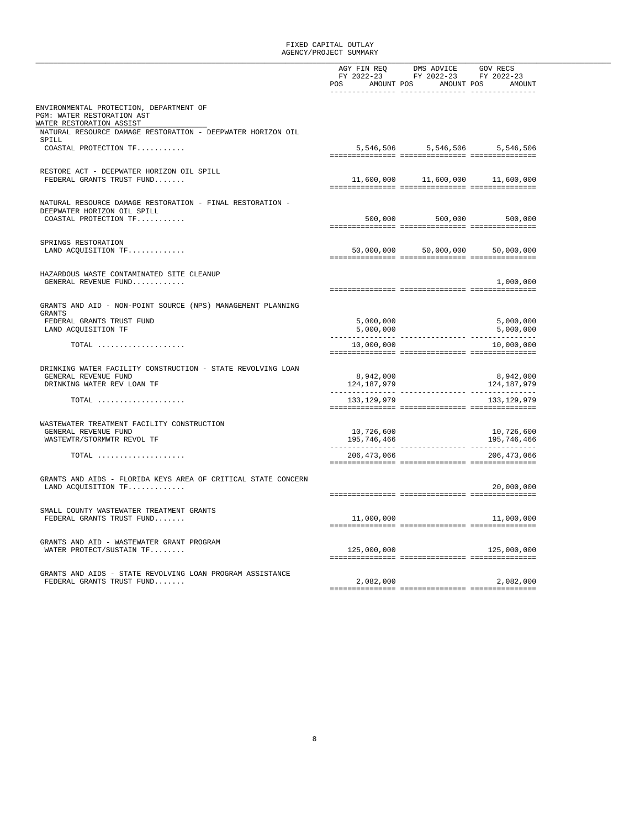|                                                                                                   | POS AMOUNT POS AMOUNT POS AMOUNT                                                                                                                                                                                                                                                                                                                                                                                      | AGY FIN REQ DMS ADVICE GOV RECS<br>FY 2022-23 FY 2022-23 FY 2022-23 |                                      |
|---------------------------------------------------------------------------------------------------|-----------------------------------------------------------------------------------------------------------------------------------------------------------------------------------------------------------------------------------------------------------------------------------------------------------------------------------------------------------------------------------------------------------------------|---------------------------------------------------------------------|--------------------------------------|
|                                                                                                   |                                                                                                                                                                                                                                                                                                                                                                                                                       |                                                                     |                                      |
| ENVIRONMENTAL PROTECTION, DEPARTMENT OF<br>PGM: WATER RESTORATION AST<br>WATER RESTORATION ASSIST |                                                                                                                                                                                                                                                                                                                                                                                                                       |                                                                     |                                      |
| NATURAL RESOURCE DAMAGE RESTORATION - DEEPWATER HORIZON OIL                                       |                                                                                                                                                                                                                                                                                                                                                                                                                       |                                                                     |                                      |
| SPILL<br>COASTAL PROTECTION TF                                                                    |                                                                                                                                                                                                                                                                                                                                                                                                                       |                                                                     | 5,546,506 5,546,506 5,546,506        |
|                                                                                                   |                                                                                                                                                                                                                                                                                                                                                                                                                       |                                                                     |                                      |
| RESTORE ACT - DEEPWATER HORIZON OIL SPILL                                                         |                                                                                                                                                                                                                                                                                                                                                                                                                       |                                                                     |                                      |
| FEDERAL GRANTS TRUST FUND                                                                         |                                                                                                                                                                                                                                                                                                                                                                                                                       |                                                                     | 11,600,000   11,600,000   11,600,000 |
| NATURAL RESOURCE DAMAGE RESTORATION - FINAL RESTORATION -<br>DEEPWATER HORIZON OIL SPILL          |                                                                                                                                                                                                                                                                                                                                                                                                                       |                                                                     |                                      |
| COASTAL PROTECTION TF                                                                             |                                                                                                                                                                                                                                                                                                                                                                                                                       |                                                                     | 500,000 500,000 500,000              |
|                                                                                                   |                                                                                                                                                                                                                                                                                                                                                                                                                       |                                                                     |                                      |
| SPRINGS RESTORATION<br>LAND ACQUISITION TF                                                        | 50,000,000                                                                                                                                                                                                                                                                                                                                                                                                            |                                                                     | 50,000,000 50,000,000                |
|                                                                                                   |                                                                                                                                                                                                                                                                                                                                                                                                                       |                                                                     |                                      |
| HAZARDOUS WASTE CONTAMINATED SITE CLEANUP                                                         |                                                                                                                                                                                                                                                                                                                                                                                                                       |                                                                     |                                      |
| GENERAL REVENUE FUND                                                                              | $\verb c  = \verb c  + \verb c  + \verb c  + \verb c  + \verb c  + \verb c  + \verb c  + \verb c  + \verb c  + \verb c  + \verb c  + \verb c  + \verb c  + \verb c  + \verb c  + \verb c  + \verb c  + \verb c  + \verb c  + \verb c  + \verb c  + \verb c  + \verb c  + \verb c  + \verb c  + \verb c  + \verb c  + \verb c  + \verb c  + \verb c  + \verb c  + \verb c  + \verb c  + \verb c  + \verb c  + \verb c$ |                                                                     | 1,000,000                            |
|                                                                                                   |                                                                                                                                                                                                                                                                                                                                                                                                                       |                                                                     |                                      |
| GRANTS AND AID - NON-POINT SOURCE (NPS) MANAGEMENT PLANNING<br><b>GRANTS</b>                      |                                                                                                                                                                                                                                                                                                                                                                                                                       |                                                                     |                                      |
| FEDERAL GRANTS TRUST FUND<br>LAND ACQUISITION TF                                                  | 5,000,000<br>5,000,000                                                                                                                                                                                                                                                                                                                                                                                                |                                                                     | 5,000,000<br>5,000,000               |
|                                                                                                   |                                                                                                                                                                                                                                                                                                                                                                                                                       |                                                                     |                                      |
| TOTAL                                                                                             | 10,000,000                                                                                                                                                                                                                                                                                                                                                                                                            |                                                                     | 10,000,000                           |
| DRINKING WATER FACILITY CONSTRUCTION - STATE REVOLVING LOAN                                       |                                                                                                                                                                                                                                                                                                                                                                                                                       |                                                                     |                                      |
| GENERAL REVENUE FUND<br>DRINKING WATER REV LOAN TF                                                | 8,942,000<br>124, 187, 979                                                                                                                                                                                                                                                                                                                                                                                            |                                                                     | 8,942,000<br>124,187,979             |
|                                                                                                   |                                                                                                                                                                                                                                                                                                                                                                                                                       |                                                                     |                                      |
| $\texttt{TOTAL}$                                                                                  | 133,129,979                                                                                                                                                                                                                                                                                                                                                                                                           |                                                                     | 133,129,979                          |
| WASTEWATER TREATMENT FACILITY CONSTRUCTION                                                        |                                                                                                                                                                                                                                                                                                                                                                                                                       |                                                                     |                                      |
| GENERAL REVENUE FUND                                                                              | 10,726,600                                                                                                                                                                                                                                                                                                                                                                                                            |                                                                     | 10,726,600                           |
| WASTEWTR/STORMWTR REVOL TF                                                                        | 195,746,466                                                                                                                                                                                                                                                                                                                                                                                                           |                                                                     | 195,746,466                          |
| $\texttt{TOTAL}$                                                                                  | 206,473,066                                                                                                                                                                                                                                                                                                                                                                                                           |                                                                     | 206,473,066                          |
|                                                                                                   |                                                                                                                                                                                                                                                                                                                                                                                                                       |                                                                     |                                      |
| GRANTS AND AIDS - FLORIDA KEYS AREA OF CRITICAL STATE CONCERN<br>LAND ACQUISITION TF              |                                                                                                                                                                                                                                                                                                                                                                                                                       |                                                                     | 20,000,000                           |
|                                                                                                   |                                                                                                                                                                                                                                                                                                                                                                                                                       |                                                                     |                                      |
| SMALL COUNTY WASTEWATER TREATMENT GRANTS                                                          |                                                                                                                                                                                                                                                                                                                                                                                                                       |                                                                     |                                      |
| FEDERAL GRANTS TRUST FUND                                                                         | 11,000,000                                                                                                                                                                                                                                                                                                                                                                                                            |                                                                     | 11,000,000                           |
| GRANTS AND AID - WASTEWATER GRANT PROGRAM                                                         |                                                                                                                                                                                                                                                                                                                                                                                                                       |                                                                     |                                      |
| WATER PROTECT/SUSTAIN TF                                                                          | 125,000,000                                                                                                                                                                                                                                                                                                                                                                                                           |                                                                     | 125,000,000                          |
|                                                                                                   |                                                                                                                                                                                                                                                                                                                                                                                                                       |                                                                     |                                      |
| GRANTS AND AIDS - STATE REVOLVING LOAN PROGRAM ASSISTANCE<br>FEDERAL GRANTS TRUST FUND            | 2,082,000                                                                                                                                                                                                                                                                                                                                                                                                             |                                                                     | 2,082,000                            |
|                                                                                                   |                                                                                                                                                                                                                                                                                                                                                                                                                       |                                                                     |                                      |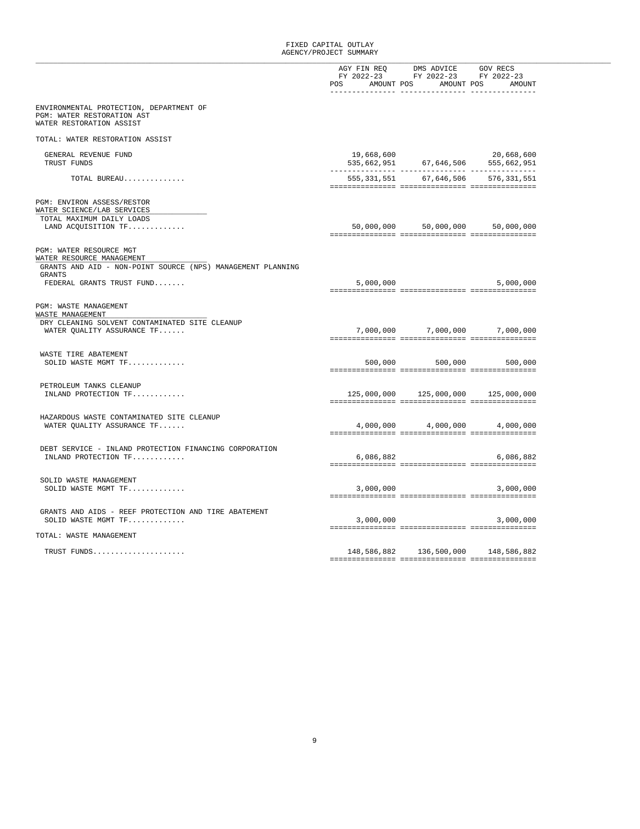|                                                                                                                     |            | AGY FIN REQ DMS ADVICE GOV RECS<br>FY 2022-23 FY 2022-23 FY 2022-23<br>POS AMOUNT POS AMOUNT POS AMOUNT |            |
|---------------------------------------------------------------------------------------------------------------------|------------|---------------------------------------------------------------------------------------------------------|------------|
| ENVIRONMENTAL PROTECTION, DEPARTMENT OF<br>PGM: WATER RESTORATION AST<br>WATER RESTORATION ASSIST                   |            |                                                                                                         |            |
| TOTAL: WATER RESTORATION ASSIST                                                                                     |            |                                                                                                         |            |
| GENERAL REVENUE FUND<br>TRUST FUNDS                                                                                 | 19,668,600 | $535,662,951$ $67,646,506$ $555,662,951$                                                                | 20,668,600 |
| TOTAL BUREAU                                                                                                        |            | 555, 331, 551 67, 646, 506 576, 331, 551                                                                |            |
| PGM: ENVIRON ASSESS/RESTOR<br>WATER SCIENCE/LAB SERVICES<br>TOTAL MAXIMUM DAILY LOADS                               |            |                                                                                                         |            |
| LAND ACQUISITION TF                                                                                                 |            | 50,000,000 50,000,000 50,000,000                                                                        |            |
| PGM: WATER RESOURCE MGT<br>WATER RESOURCE MANAGEMENT<br>GRANTS AND AID - NON-POINT SOURCE (NPS) MANAGEMENT PLANNING |            |                                                                                                         |            |
| <b>GRANTS</b><br>FEDERAL GRANTS TRUST FUND                                                                          | 5,000,000  |                                                                                                         | 5,000,000  |
| PGM: WASTE MANAGEMENT<br>WASTE MANAGEMENT                                                                           |            |                                                                                                         |            |
| DRY CLEANING SOLVENT CONTAMINATED SITE CLEANUP<br>WATER QUALITY ASSURANCE TF                                        |            | 7,000,000 7,000,000 7,000,000                                                                           |            |
| WASTE TIRE ABATEMENT<br>SOLID WASTE MGMT TF                                                                         |            | 500,000 500,000 500,000                                                                                 |            |
| PETROLEUM TANKS CLEANUP<br>INLAND PROTECTION TF                                                                     |            | 125,000,000 125,000,000 125,000,000                                                                     |            |
| HAZARDOUS WASTE CONTAMINATED SITE CLEANUP<br>WATER OUALITY ASSURANCE TF                                             |            | 4,000,000 4,000,000 4,000,000                                                                           |            |
| DEBT SERVICE - INLAND PROTECTION FINANCING CORPORATION<br>INLAND PROTECTION TF                                      | 6,086,882  |                                                                                                         | 6,086,882  |
| SOLID WASTE MANAGEMENT<br>SOLID WASTE MGMT TF                                                                       | 3,000,000  |                                                                                                         | 3,000,000  |
| GRANTS AND AIDS - REEF PROTECTION AND TIRE ABATEMENT<br>SOLID WASTE MGMT TF                                         | 3,000,000  |                                                                                                         | 3,000,000  |
| TOTAL: WASTE MANAGEMENT                                                                                             |            |                                                                                                         |            |
| TRUST FUNDS                                                                                                         |            | 148,586,882 136,500,000 148,586,882                                                                     |            |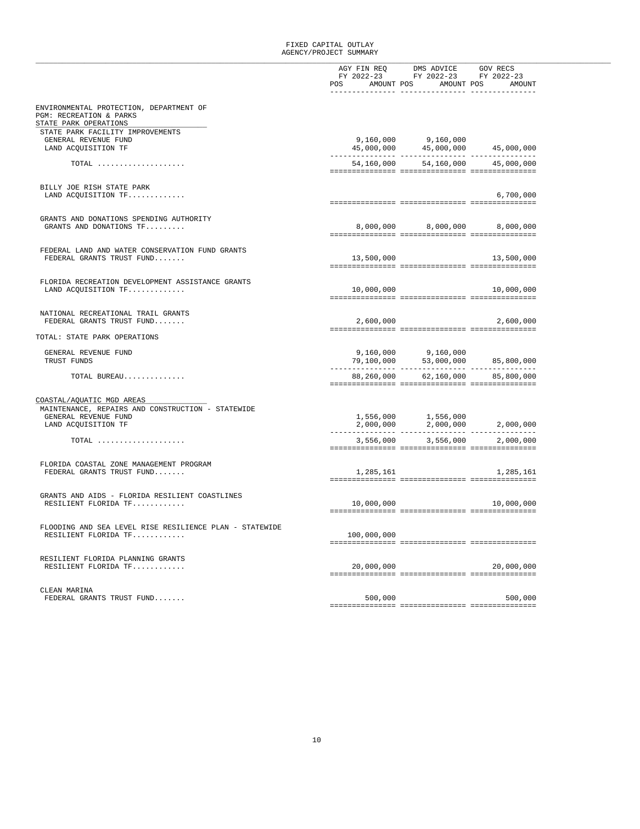|                                                                           |                   | $\begin{tabular}{llll} \bf AGY \hspace{0.1cm}FIN \hspace{0.1cm}REQ \hspace{1.2cm}DMS \hspace{0.1cm}ADVICE \hspace{1.2cm} GOV \hspace{0.1cm}RECS \end{tabular}$<br>FY 2022-23 FY 2022-23 FY 2022-23                        |              |
|---------------------------------------------------------------------------|-------------------|---------------------------------------------------------------------------------------------------------------------------------------------------------------------------------------------------------------------------|--------------|
|                                                                           | POS               | AMOUNT POS AMOUNT POS                                                                                                                                                                                                     | AMOUNT       |
| ENVIRONMENTAL PROTECTION, DEPARTMENT OF<br>PGM: RECREATION & PARKS        |                   |                                                                                                                                                                                                                           |              |
| STATE PARK OPERATIONS<br>STATE PARK FACILITY IMPROVEMENTS                 |                   |                                                                                                                                                                                                                           |              |
| GENERAL REVENUE FUND                                                      |                   |                                                                                                                                                                                                                           |              |
| LAND ACQUISITION TF                                                       |                   | $\begin{array}{lll} 9\, , 160\, , 000 & \qquad & 9\, , 160\, , 000 \\ 45\, , 000\, , 000 & \qquad & 45\, , 000\, , 000 \end{array} \qquad \quad \begin{array}{l} 45\, , 000\, , 000 \\ 45\, , 000\, , 000 \\ \end{array}$ |              |
| $\texttt{TOTAL}$                                                          |                   | 54,160,000 54,160,000                                                                                                                                                                                                     | 45,000,000   |
|                                                                           |                   |                                                                                                                                                                                                                           |              |
| BILLY JOE RISH STATE PARK                                                 |                   |                                                                                                                                                                                                                           |              |
| LAND ACOUISITION TF                                                       |                   |                                                                                                                                                                                                                           | 6,700,000    |
| GRANTS AND DONATIONS SPENDING AUTHORITY                                   |                   |                                                                                                                                                                                                                           |              |
| GRANTS AND DONATIONS TF                                                   |                   | 8,000,000 8,000,000 8,000,000                                                                                                                                                                                             |              |
|                                                                           |                   |                                                                                                                                                                                                                           |              |
| FEDERAL LAND AND WATER CONSERVATION FUND GRANTS                           |                   |                                                                                                                                                                                                                           |              |
| FEDERAL GRANTS TRUST FUND                                                 | 13,500,000        |                                                                                                                                                                                                                           | 13,500,000   |
| FLORIDA RECREATION DEVELOPMENT ASSISTANCE GRANTS                          |                   |                                                                                                                                                                                                                           |              |
| LAND ACQUISITION TF                                                       |                   | 10,000,000                                                                                                                                                                                                                | 10,000,000   |
|                                                                           |                   |                                                                                                                                                                                                                           |              |
| NATIONAL RECREATIONAL TRAIL GRANTS                                        |                   |                                                                                                                                                                                                                           |              |
| FEDERAL GRANTS TRUST FUND                                                 | 2,600,000         |                                                                                                                                                                                                                           | 2,600,000    |
| TOTAL: STATE PARK OPERATIONS                                              |                   |                                                                                                                                                                                                                           |              |
| GENERAL REVENUE FUND                                                      |                   |                                                                                                                                                                                                                           |              |
| TRUST FUNDS                                                               | --------------- - | $\begin{array}{lll} 9\, , 160\, , 000 \qquad & 9\, , 160\, , 000 \qquad & \\ 79\, , 100\, , 000 \qquad & 53\, , 000\, , 000 \qquad & 85\, , 800\, , 000 \end{array}$<br>. _ _ _ _ _ _ _ _ _ _ _ _ _ _ _ _ _               | . <u>.</u> . |
| TOTAL BUREAU                                                              |                   | 88,260,000 62,160,000                                                                                                                                                                                                     | 85,800,000   |
|                                                                           |                   |                                                                                                                                                                                                                           |              |
| COASTAL/AQUATIC MGD AREAS                                                 |                   |                                                                                                                                                                                                                           |              |
| MAINTENANCE, REPAIRS AND CONSTRUCTION - STATEWIDE<br>GENERAL REVENUE FUND |                   |                                                                                                                                                                                                                           |              |
| LAND ACQUISITION TF                                                       |                   | $1,556,000$<br>$2,000,000$<br>$2,000,000$<br>$2,000,000$<br>$2,000,000$                                                                                                                                                   |              |
| TOTAL                                                                     | 3,556,000         | 3,556,000                                                                                                                                                                                                                 | 2,000,000    |
|                                                                           |                   |                                                                                                                                                                                                                           |              |
| FLORIDA COASTAL ZONE MANAGEMENT PROGRAM                                   |                   |                                                                                                                                                                                                                           |              |
| FEDERAL GRANTS TRUST FUND                                                 |                   | 1,285,161 1,285,161                                                                                                                                                                                                       |              |
| GRANTS AND AIDS - FLORIDA RESILIENT COASTLINES                            |                   |                                                                                                                                                                                                                           |              |
| RESILIENT FLORIDA TF                                                      |                   | 10,000,000                                                                                                                                                                                                                | 10,000,000   |
|                                                                           |                   |                                                                                                                                                                                                                           |              |
| FLOODING AND SEA LEVEL RISE RESILIENCE PLAN - STATEWIDE                   |                   |                                                                                                                                                                                                                           |              |
| RESILIENT FLORIDA TF                                                      | 100,000,000       |                                                                                                                                                                                                                           |              |
|                                                                           |                   |                                                                                                                                                                                                                           |              |
| RESILIENT FLORIDA PLANNING GRANTS<br>RESILIENT FLORIDA TF                 | 20,000,000        |                                                                                                                                                                                                                           | 20,000,000   |
|                                                                           |                   |                                                                                                                                                                                                                           |              |
| CLEAN MARINA                                                              |                   |                                                                                                                                                                                                                           |              |
| FEDERAL GRANTS TRUST FUND                                                 | 500,000           |                                                                                                                                                                                                                           | 500,000      |
|                                                                           |                   |                                                                                                                                                                                                                           |              |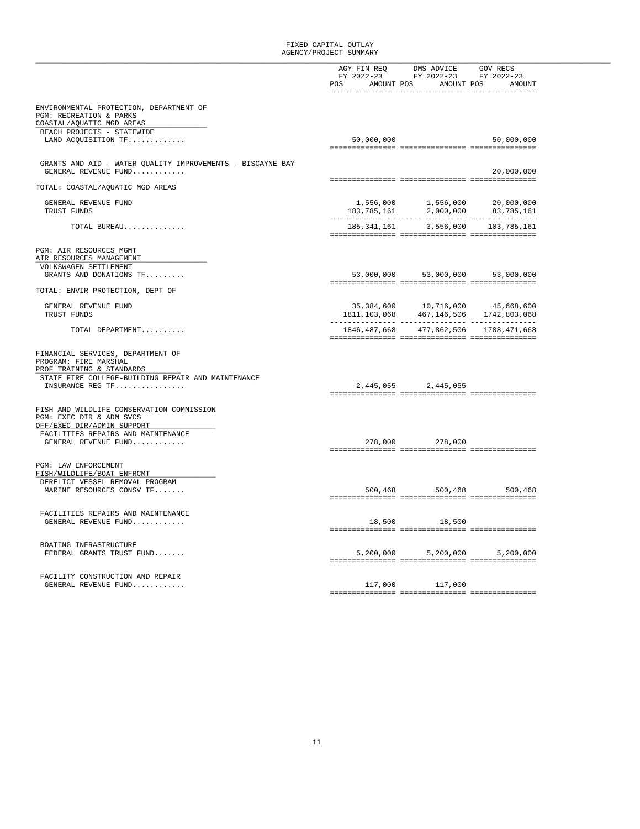|                                                                                                     |                           | AGY FIN REQ DMS ADVICE GOV RECS<br>FY 2022-23 FY 2022-23 FY 2022-23 |                                                                                                                                                                                                            |
|-----------------------------------------------------------------------------------------------------|---------------------------|---------------------------------------------------------------------|------------------------------------------------------------------------------------------------------------------------------------------------------------------------------------------------------------|
|                                                                                                     | POS AMOUNT POS AMOUNT POS |                                                                     | AMOUNT                                                                                                                                                                                                     |
|                                                                                                     |                           |                                                                     |                                                                                                                                                                                                            |
| ENVIRONMENTAL PROTECTION, DEPARTMENT OF<br>PGM: RECREATION & PARKS                                  |                           |                                                                     |                                                                                                                                                                                                            |
| COASTAL/AQUATIC MGD AREAS                                                                           |                           |                                                                     |                                                                                                                                                                                                            |
| BEACH PROJECTS - STATEWIDE                                                                          |                           |                                                                     |                                                                                                                                                                                                            |
| LAND ACQUISITION TF                                                                                 | 50,000,000                |                                                                     | 50,000,000                                                                                                                                                                                                 |
|                                                                                                     |                           |                                                                     |                                                                                                                                                                                                            |
| GRANTS AND AID - WATER QUALITY IMPROVEMENTS - BISCAYNE BAY<br>GENERAL REVENUE FUND                  |                           |                                                                     | 20,000,000                                                                                                                                                                                                 |
|                                                                                                     |                           |                                                                     |                                                                                                                                                                                                            |
| TOTAL: COASTAL/AQUATIC MGD AREAS                                                                    |                           |                                                                     |                                                                                                                                                                                                            |
|                                                                                                     |                           |                                                                     |                                                                                                                                                                                                            |
| GENERAL REVENUE FUND                                                                                |                           |                                                                     | $\begin{array}{cccc} 1\, , 556 \, , 000 & \qquad & 1\, , 556 \, , 000 & \qquad & 20 \, , 000 \, , 000 \\ 183 \, , 785 \, , 161 & \qquad & 2 \, , 000 \, , 000 & \qquad & 83 \, , 785 \, , 161 \end{array}$ |
| TRUST FUNDS                                                                                         | --------------- -         | ----------- -                                                       | ------------                                                                                                                                                                                               |
| TOTAL BUREAU                                                                                        |                           |                                                                     | 185, 341, 161 3, 556, 000 103, 785, 161                                                                                                                                                                    |
|                                                                                                     |                           |                                                                     |                                                                                                                                                                                                            |
| PGM: AIR RESOURCES MGMT<br>AIR RESOURCES MANAGEMENT                                                 |                           |                                                                     |                                                                                                                                                                                                            |
| VOLKSWAGEN SETTLEMENT                                                                               |                           |                                                                     |                                                                                                                                                                                                            |
| GRANTS AND DONATIONS TF                                                                             |                           | 53,000,000 53,000,000 53,000,000                                    |                                                                                                                                                                                                            |
| TOTAL: ENVIR PROTECTION, DEPT OF                                                                    |                           |                                                                     |                                                                                                                                                                                                            |
|                                                                                                     |                           |                                                                     |                                                                                                                                                                                                            |
| GENERAL REVENUE FUND                                                                                |                           | 35,384,600 10,716,000 45,668,600                                    |                                                                                                                                                                                                            |
| TRUST FUNDS                                                                                         | 1811,103,068              |                                                                     | 467,146,506 1742,803,068                                                                                                                                                                                   |
| TOTAL DEPARTMENT                                                                                    | 1846,487,668              |                                                                     | 477,862,506 1788,471,668                                                                                                                                                                                   |
|                                                                                                     |                           |                                                                     |                                                                                                                                                                                                            |
| FINANCIAL SERVICES, DEPARTMENT OF<br>PROGRAM: FIRE MARSHAL<br>PROF TRAINING & STANDARDS             |                           |                                                                     |                                                                                                                                                                                                            |
| STATE FIRE COLLEGE-BUILDING REPAIR AND MAINTENANCE                                                  |                           |                                                                     |                                                                                                                                                                                                            |
| INSURANCE REG TF                                                                                    |                           | 2,445,055 2,445,055                                                 |                                                                                                                                                                                                            |
|                                                                                                     |                           |                                                                     |                                                                                                                                                                                                            |
| FISH AND WILDLIFE CONSERVATION COMMISSION<br>PGM: EXEC DIR & ADM SVCS<br>OFF/EXEC DIR/ADMIN SUPPORT |                           |                                                                     |                                                                                                                                                                                                            |
| FACILITIES REPAIRS AND MAINTENANCE                                                                  |                           |                                                                     |                                                                                                                                                                                                            |
| GENERAL REVENUE FUND                                                                                |                           | 278,000 278,000                                                     |                                                                                                                                                                                                            |
| <b>PGM: LAW ENFORCEMENT</b>                                                                         |                           |                                                                     |                                                                                                                                                                                                            |
| FISH/WILDLIFE/BOAT ENFRCMT<br>DERELICT VESSEL REMOVAL PROGRAM                                       |                           |                                                                     |                                                                                                                                                                                                            |
| MARINE RESOURCES CONSV TF                                                                           |                           |                                                                     | 500,468 500,468 500,468                                                                                                                                                                                    |
|                                                                                                     |                           |                                                                     |                                                                                                                                                                                                            |
| FACILITIES REPAIRS AND MAINTENANCE                                                                  |                           |                                                                     |                                                                                                                                                                                                            |
| GENERAL REVENUE FUND                                                                                |                           | 18,500 18,500                                                       |                                                                                                                                                                                                            |
|                                                                                                     |                           |                                                                     |                                                                                                                                                                                                            |
|                                                                                                     |                           |                                                                     |                                                                                                                                                                                                            |
| BOATING INFRASTRUCTURE                                                                              |                           |                                                                     |                                                                                                                                                                                                            |
| FEDERAL GRANTS TRUST FUND                                                                           |                           | 5,200,000 5,200,000                                                 | 5,200,000                                                                                                                                                                                                  |
|                                                                                                     |                           |                                                                     |                                                                                                                                                                                                            |
| FACILITY CONSTRUCTION AND REPAIR                                                                    |                           |                                                                     |                                                                                                                                                                                                            |
| GENERAL REVENUE FUND                                                                                | 117,000                   | 117,000                                                             |                                                                                                                                                                                                            |
|                                                                                                     |                           |                                                                     |                                                                                                                                                                                                            |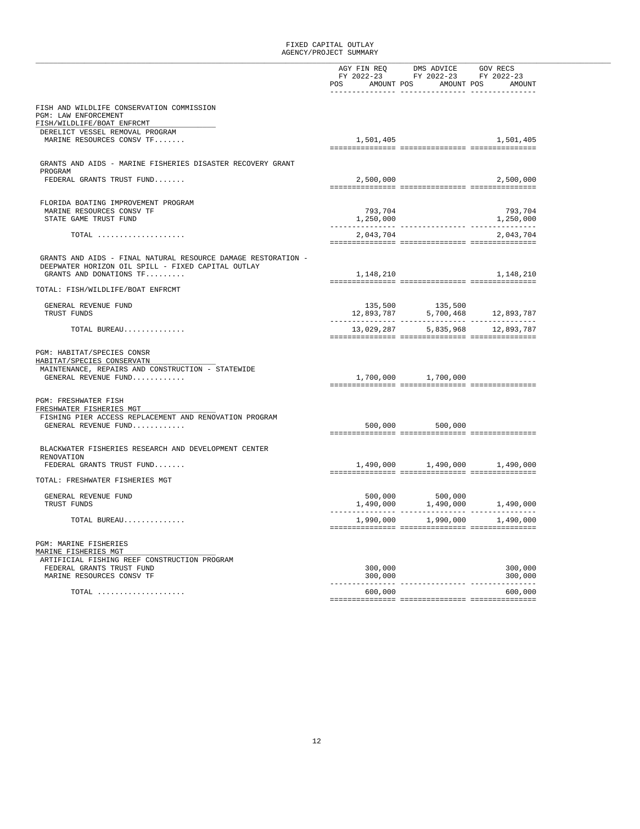|                                                               |                                  | $\begin{tabular}{lllllllll} \bf AGY & \bf FIN & \bf REQ & \bf DMS & \bf ADVICE & \bf GOV & \bf RECS \\ \bf FY & \tt 2022-23 & \tt FY & \tt 2022-23 & \tt FY & \tt 2022-23 \\ \end{tabular}$ |                                                                                                                                           |
|---------------------------------------------------------------|----------------------------------|---------------------------------------------------------------------------------------------------------------------------------------------------------------------------------------------|-------------------------------------------------------------------------------------------------------------------------------------------|
|                                                               |                                  |                                                                                                                                                                                             |                                                                                                                                           |
|                                                               | POS AMOUNT POS AMOUNT POS AMOUNT |                                                                                                                                                                                             |                                                                                                                                           |
|                                                               |                                  |                                                                                                                                                                                             |                                                                                                                                           |
| FISH AND WILDLIFE CONSERVATION COMMISSION                     |                                  |                                                                                                                                                                                             |                                                                                                                                           |
| PGM: LAW ENFORCEMENT                                          |                                  |                                                                                                                                                                                             |                                                                                                                                           |
| FISH/WILDLIFE/BOAT ENFRCMT                                    |                                  |                                                                                                                                                                                             |                                                                                                                                           |
| DERELICT VESSEL REMOVAL PROGRAM                               |                                  |                                                                                                                                                                                             |                                                                                                                                           |
| MARINE RESOURCES CONSV TF                                     | 1,501,405                        |                                                                                                                                                                                             | 1,501,405                                                                                                                                 |
|                                                               |                                  |                                                                                                                                                                                             |                                                                                                                                           |
| GRANTS AND AIDS - MARINE FISHERIES DISASTER RECOVERY GRANT    |                                  |                                                                                                                                                                                             |                                                                                                                                           |
| PROGRAM                                                       |                                  |                                                                                                                                                                                             |                                                                                                                                           |
| FEDERAL GRANTS TRUST FUND                                     | 2,500,000                        |                                                                                                                                                                                             | 2,500,000                                                                                                                                 |
|                                                               |                                  |                                                                                                                                                                                             |                                                                                                                                           |
|                                                               |                                  |                                                                                                                                                                                             |                                                                                                                                           |
| FLORIDA BOATING IMPROVEMENT PROGRAM                           |                                  |                                                                                                                                                                                             |                                                                                                                                           |
| MARINE RESOURCES CONSV TF                                     | 793,704                          |                                                                                                                                                                                             | 793,704                                                                                                                                   |
| STATE GAME TRUST FUND                                         | 1,250,000<br>-----------         |                                                                                                                                                                                             | 1,250,000                                                                                                                                 |
| TOTAL $\ldots \ldots \ldots \ldots \ldots \ldots$             | 2,043,704                        |                                                                                                                                                                                             | 2,043,704                                                                                                                                 |
|                                                               |                                  |                                                                                                                                                                                             |                                                                                                                                           |
|                                                               |                                  |                                                                                                                                                                                             |                                                                                                                                           |
| GRANTS AND AIDS - FINAL NATURAL RESOURCE DAMAGE RESTORATION - |                                  |                                                                                                                                                                                             |                                                                                                                                           |
| DEEPWATER HORIZON OIL SPILL - FIXED CAPITAL OUTLAY            |                                  |                                                                                                                                                                                             |                                                                                                                                           |
| GRANTS AND DONATIONS TF                                       | 1,148,210                        |                                                                                                                                                                                             | 1,148,210                                                                                                                                 |
| TOTAL: FISH/WILDLIFE/BOAT ENFRCMT                             |                                  |                                                                                                                                                                                             |                                                                                                                                           |
|                                                               |                                  |                                                                                                                                                                                             |                                                                                                                                           |
| GENERAL REVENUE FUND                                          |                                  |                                                                                                                                                                                             |                                                                                                                                           |
| TRUST FUNDS                                                   |                                  |                                                                                                                                                                                             | $\begin{array}{ccc} 135,500 & \hspace*{1.5cm} 135,500 \\ 12,893,787 & \hspace*{1.5cm} 5,700,468 & \hspace*{1.5cm} 12,893,787 \end{array}$ |
|                                                               |                                  | ---------------                                                                                                                                                                             |                                                                                                                                           |
| TOTAL BUREAU                                                  |                                  | 13,029,287 5,835,968 12,893,787                                                                                                                                                             |                                                                                                                                           |
|                                                               |                                  |                                                                                                                                                                                             |                                                                                                                                           |
| PGM: HABITAT/SPECIES CONSR                                    |                                  |                                                                                                                                                                                             |                                                                                                                                           |
| HABITAT/SPECIES CONSERVATN                                    |                                  |                                                                                                                                                                                             |                                                                                                                                           |
| MAINTENANCE, REPAIRS AND CONSTRUCTION - STATEWIDE             |                                  |                                                                                                                                                                                             |                                                                                                                                           |
| GENERAL REVENUE FUND                                          |                                  | 1,700,000 1,700,000                                                                                                                                                                         |                                                                                                                                           |
|                                                               |                                  |                                                                                                                                                                                             |                                                                                                                                           |
|                                                               |                                  |                                                                                                                                                                                             |                                                                                                                                           |
| PGM: FRESHWATER FISH<br>FRESHWATER FISHERIES MGT              |                                  |                                                                                                                                                                                             |                                                                                                                                           |
| FISHING PIER ACCESS REPLACEMENT AND RENOVATION PROGRAM        |                                  |                                                                                                                                                                                             |                                                                                                                                           |
| GENERAL REVENUE FUND                                          | 500,000                          | 500,000                                                                                                                                                                                     |                                                                                                                                           |
|                                                               |                                  |                                                                                                                                                                                             |                                                                                                                                           |
|                                                               |                                  |                                                                                                                                                                                             |                                                                                                                                           |
| BLACKWATER FISHERIES RESEARCH AND DEVELOPMENT CENTER          |                                  |                                                                                                                                                                                             |                                                                                                                                           |
| RENOVATION                                                    |                                  |                                                                                                                                                                                             |                                                                                                                                           |
| FEDERAL GRANTS TRUST FUND                                     | 1,490,000                        | 1,490,000                                                                                                                                                                                   | 1,490,000                                                                                                                                 |
| TOTAL: FRESHWATER FISHERIES MGT                               |                                  |                                                                                                                                                                                             |                                                                                                                                           |
|                                                               |                                  |                                                                                                                                                                                             |                                                                                                                                           |
| GENERAL REVENUE FUND                                          | 500,000                          | 500,000                                                                                                                                                                                     |                                                                                                                                           |
| TRUST FUNDS                                                   |                                  | $1,490,000$ $1,490,000$                                                                                                                                                                     | 1,490,000                                                                                                                                 |
|                                                               | ----------------                 | ------------                                                                                                                                                                                | -----------                                                                                                                               |
| TOTAL BUREAU                                                  |                                  |                                                                                                                                                                                             | $1,990,000$ $1,990,000$ $1,490,000$                                                                                                       |
|                                                               |                                  |                                                                                                                                                                                             |                                                                                                                                           |
| <b>PGM: MARINE FISHERIES</b>                                  |                                  |                                                                                                                                                                                             |                                                                                                                                           |
| MARINE FISHERIES MGT                                          |                                  |                                                                                                                                                                                             |                                                                                                                                           |
| ARTIFICIAL FISHING REEF CONSTRUCTION PROGRAM                  |                                  |                                                                                                                                                                                             |                                                                                                                                           |
| FEDERAL GRANTS TRUST FUND                                     | 300,000                          |                                                                                                                                                                                             | 300,000                                                                                                                                   |
| MARINE RESOURCES CONSV TF                                     | 300,000                          |                                                                                                                                                                                             | 300,000                                                                                                                                   |
|                                                               |                                  |                                                                                                                                                                                             |                                                                                                                                           |
| $\texttt{TOTAL}$                                              | 600,000                          |                                                                                                                                                                                             | 600,000                                                                                                                                   |
|                                                               |                                  |                                                                                                                                                                                             |                                                                                                                                           |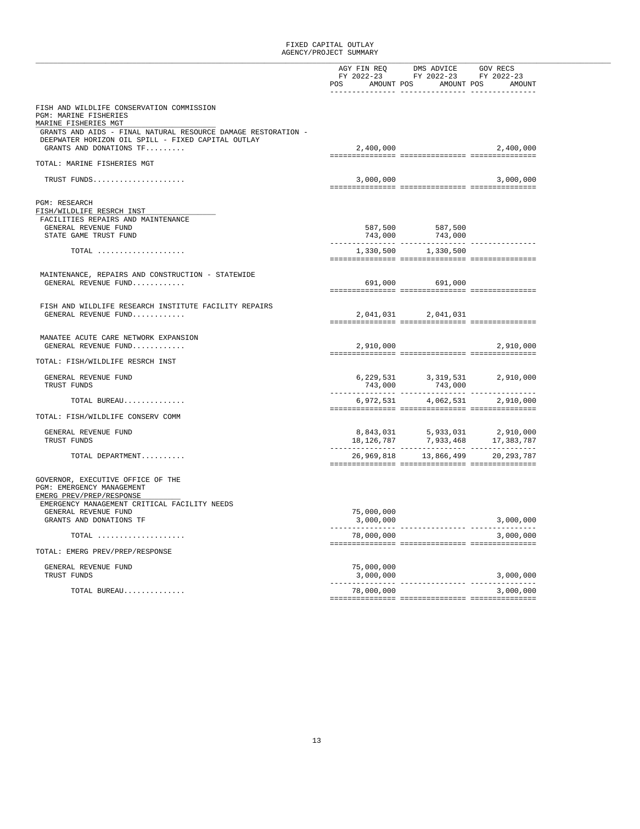|                                                                    |                           | AGY FIN REQ DMS ADVICE GOV RECS<br>FY 2022-23 FY 2022-23 FY 2022-23 |                                                                                                                                                                                                            |  |
|--------------------------------------------------------------------|---------------------------|---------------------------------------------------------------------|------------------------------------------------------------------------------------------------------------------------------------------------------------------------------------------------------------|--|
|                                                                    |                           |                                                                     |                                                                                                                                                                                                            |  |
|                                                                    | POS AMOUNT POS AMOUNT POS |                                                                     | AMOUNT                                                                                                                                                                                                     |  |
|                                                                    |                           |                                                                     |                                                                                                                                                                                                            |  |
| FISH AND WILDLIFE CONSERVATION COMMISSION<br>PGM: MARINE FISHERIES |                           |                                                                     |                                                                                                                                                                                                            |  |
| MARINE FISHERIES MGT                                               |                           |                                                                     |                                                                                                                                                                                                            |  |
| GRANTS AND AIDS - FINAL NATURAL RESOURCE DAMAGE RESTORATION -      |                           |                                                                     |                                                                                                                                                                                                            |  |
| DEEPWATER HORIZON OIL SPILL - FIXED CAPITAL OUTLAY                 |                           |                                                                     |                                                                                                                                                                                                            |  |
| GRANTS AND DONATIONS TF                                            | 2,400,000                 |                                                                     | 2,400,000                                                                                                                                                                                                  |  |
| TOTAL: MARINE FISHERIES MGT                                        |                           |                                                                     |                                                                                                                                                                                                            |  |
|                                                                    |                           |                                                                     |                                                                                                                                                                                                            |  |
| TRUST FUNDS                                                        | 3,000,000                 |                                                                     | 3,000,000                                                                                                                                                                                                  |  |
|                                                                    |                           |                                                                     |                                                                                                                                                                                                            |  |
| PGM: RESEARCH                                                      |                           |                                                                     |                                                                                                                                                                                                            |  |
| FISH/WILDLIFE RESRCH INST                                          |                           |                                                                     |                                                                                                                                                                                                            |  |
| FACILITIES REPAIRS AND MAINTENANCE                                 |                           |                                                                     |                                                                                                                                                                                                            |  |
| GENERAL REVENUE FUND                                               |                           |                                                                     |                                                                                                                                                                                                            |  |
| STATE GAME TRUST FUND                                              |                           | 587,500<br>743,000 587,500<br>----                                  |                                                                                                                                                                                                            |  |
| TOTAL                                                              |                           | 1,330,500 1,330,500                                                 |                                                                                                                                                                                                            |  |
|                                                                    |                           |                                                                     |                                                                                                                                                                                                            |  |
|                                                                    |                           |                                                                     |                                                                                                                                                                                                            |  |
| MAINTENANCE, REPAIRS AND CONSTRUCTION - STATEWIDE                  |                           |                                                                     |                                                                                                                                                                                                            |  |
| GENERAL REVENUE FUND                                               |                           | 691,000 691,000                                                     |                                                                                                                                                                                                            |  |
|                                                                    |                           |                                                                     |                                                                                                                                                                                                            |  |
| FISH AND WILDLIFE RESEARCH INSTITUTE FACILITY REPAIRS              |                           |                                                                     |                                                                                                                                                                                                            |  |
| GENERAL REVENUE FUND                                               |                           | 2,041,031 2,041,031                                                 |                                                                                                                                                                                                            |  |
|                                                                    |                           |                                                                     |                                                                                                                                                                                                            |  |
| MANATEE ACUTE CARE NETWORK EXPANSION                               |                           |                                                                     |                                                                                                                                                                                                            |  |
| GENERAL REVENUE FUND                                               | 2,910,000                 |                                                                     | 2,910,000                                                                                                                                                                                                  |  |
|                                                                    |                           |                                                                     |                                                                                                                                                                                                            |  |
| TOTAL: FISH/WILDLIFE RESRCH INST                                   |                           |                                                                     |                                                                                                                                                                                                            |  |
| GENERAL REVENUE FUND                                               |                           |                                                                     | 2,910,000                                                                                                                                                                                                  |  |
| TRUST FUNDS                                                        |                           | 6, 229, 531<br>743, 000<br>743, 000<br>743, 000<br>743,000          |                                                                                                                                                                                                            |  |
|                                                                    |                           |                                                                     |                                                                                                                                                                                                            |  |
| TOTAL BUREAU                                                       |                           | 6,972,531 4,062,531                                                 | 2,910,000                                                                                                                                                                                                  |  |
| TOTAL: FISH/WILDLIFE CONSERV COMM                                  |                           |                                                                     |                                                                                                                                                                                                            |  |
|                                                                    |                           |                                                                     |                                                                                                                                                                                                            |  |
| GENERAL REVENUE FUND                                               |                           |                                                                     | $\begin{array}{cccc} 8\,, 843\,, 031 & \phantom{00} & 5\,, 933\,, 031 & \phantom{00} & 2\,, 910\,, 000 \\ 18\,, 126\,, 787 & \phantom{00} & 7\,, 933\,, 468 & \phantom{00} & 17\,, 383\,, 787 \end{array}$ |  |
| TRUST FUNDS                                                        |                           |                                                                     |                                                                                                                                                                                                            |  |
| TOTAL DEPARTMENT                                                   |                           | 26,969,818 13,866,499                                               | 20,293,787                                                                                                                                                                                                 |  |
|                                                                    |                           |                                                                     |                                                                                                                                                                                                            |  |
|                                                                    |                           |                                                                     |                                                                                                                                                                                                            |  |
| GOVERNOR, EXECUTIVE OFFICE OF THE                                  |                           |                                                                     |                                                                                                                                                                                                            |  |
| PGM: EMERGENCY MANAGEMENT<br>EMERG PREV/PREP/RESPONSE              |                           |                                                                     |                                                                                                                                                                                                            |  |
| EMERGENCY MANAGEMENT CRITICAL FACILITY NEEDS                       |                           |                                                                     |                                                                                                                                                                                                            |  |
| GENERAL REVENUE FUND                                               | 75,000,000                |                                                                     |                                                                                                                                                                                                            |  |
| GRANTS AND DONATIONS TF                                            | 3,000,000                 |                                                                     | 3,000,000                                                                                                                                                                                                  |  |
|                                                                    |                           | ----------- ------------- -----------<br>2000.000. 2                |                                                                                                                                                                                                            |  |
| $\texttt{TOTAL}$                                                   | 78,000,000                |                                                                     | 3,000,000                                                                                                                                                                                                  |  |
| TOTAL: EMERG PREV/PREP/RESPONSE                                    |                           |                                                                     |                                                                                                                                                                                                            |  |
|                                                                    |                           |                                                                     |                                                                                                                                                                                                            |  |
| GENERAL REVENUE FUND                                               | 75,000,000                |                                                                     |                                                                                                                                                                                                            |  |
| TRUST FUNDS                                                        | 3,000,000                 |                                                                     | 3,000,000                                                                                                                                                                                                  |  |
|                                                                    |                           |                                                                     |                                                                                                                                                                                                            |  |
| TOTAL BUREAU                                                       | 78,000,000                |                                                                     | 3,000,000                                                                                                                                                                                                  |  |
|                                                                    |                           |                                                                     |                                                                                                                                                                                                            |  |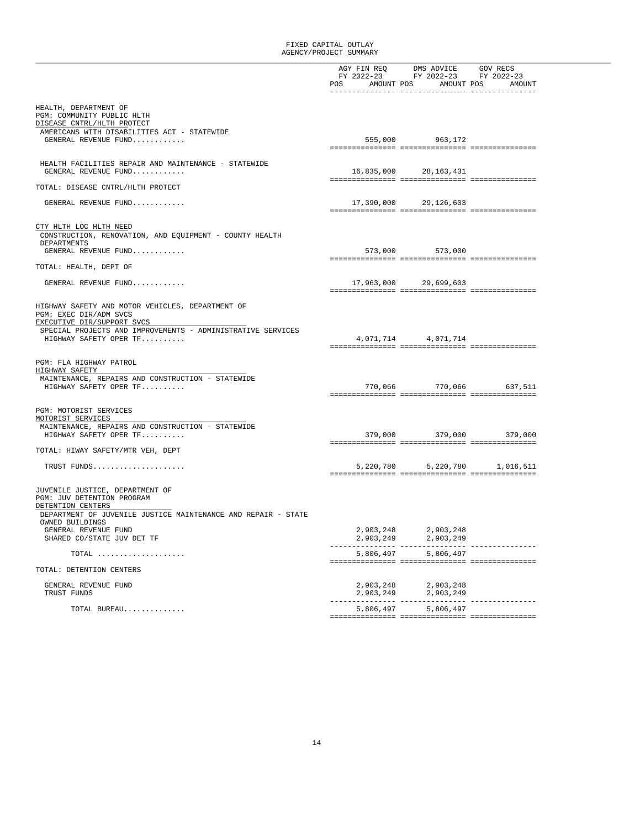|                                                                                                          | FY 2022-23<br>POS | AGY FIN REQ DMS ADVICE GOV RECS<br>FY 2022-23<br>AMOUNT POS | FY 2022-23<br>AMOUNT POS<br>AMOUNT |
|----------------------------------------------------------------------------------------------------------|-------------------|-------------------------------------------------------------|------------------------------------|
|                                                                                                          |                   |                                                             |                                    |
| HEALTH, DEPARTMENT OF<br>PGM: COMMUNITY PUBLIC HLTH<br>DISEASE CNTRL/HLTH PROTECT                        |                   |                                                             |                                    |
| AMERICANS WITH DISABILITIES ACT - STATEWIDE                                                              |                   |                                                             |                                    |
| GENERAL REVENUE FUND                                                                                     |                   | 555,000 963,172                                             |                                    |
|                                                                                                          |                   |                                                             |                                    |
| HEALTH FACILITIES REPAIR AND MAINTENANCE - STATEWIDE                                                     |                   |                                                             |                                    |
| GENERAL REVENUE FUND                                                                                     |                   | 16,835,000 28,163,431                                       |                                    |
| TOTAL: DISEASE CNTRL/HLTH PROTECT                                                                        |                   |                                                             |                                    |
| GENERAL REVENUE FUND                                                                                     |                   | 17,390,000 29,126,603                                       |                                    |
|                                                                                                          |                   |                                                             |                                    |
| CTY HLTH LOC HLTH NEED                                                                                   |                   |                                                             |                                    |
| CONSTRUCTION, RENOVATION, AND EQUIPMENT - COUNTY HEALTH                                                  |                   |                                                             |                                    |
| DEPARTMENTS<br>GENERAL REVENUE FUND                                                                      |                   | 573,000 573,000                                             |                                    |
|                                                                                                          |                   |                                                             |                                    |
| TOTAL: HEALTH, DEPT OF                                                                                   |                   |                                                             |                                    |
| GENERAL REVENUE FUND                                                                                     |                   | 17,963,000 29,699,603                                       |                                    |
|                                                                                                          |                   |                                                             |                                    |
| HIGHWAY SAFETY AND MOTOR VEHICLES, DEPARTMENT OF<br>PGM: EXEC DIR/ADM SVCS<br>EXECUTIVE DIR/SUPPORT SVCS |                   |                                                             |                                    |
| SPECIAL PROJECTS AND IMPROVEMENTS - ADMINISTRATIVE SERVICES                                              |                   |                                                             |                                    |
| HIGHWAY SAFETY OPER TF                                                                                   |                   | 4,071,714 4,071,714                                         |                                    |
|                                                                                                          |                   |                                                             |                                    |
| PGM: FLA HIGHWAY PATROL<br>HIGHWAY SAFETY                                                                |                   |                                                             |                                    |
| MAINTENANCE, REPAIRS AND CONSTRUCTION - STATEWIDE                                                        |                   |                                                             |                                    |
| HIGHWAY SAFETY OPER TF                                                                                   |                   | 770,066 770,066 637,511                                     |                                    |
|                                                                                                          |                   |                                                             |                                    |
| PGM: MOTORIST SERVICES<br>MOTORIST SERVICES                                                              |                   |                                                             |                                    |
| MAINTENANCE, REPAIRS AND CONSTRUCTION - STATEWIDE                                                        |                   |                                                             |                                    |
| HIGHWAY SAFETY OPER TF                                                                                   |                   | 379,000 379,000                                             | 379,000                            |
| TOTAL: HIWAY SAFETY/MTR VEH, DEPT                                                                        |                   |                                                             |                                    |
|                                                                                                          |                   |                                                             |                                    |
| TRUST FUNDS                                                                                              |                   | 5,220,780 5,220,780 1,016,511                               |                                    |
| JUVENILE JUSTICE, DEPARTMENT OF<br>PGM: JUV DETENTION PROGRAM                                            |                   |                                                             |                                    |
| DETENTION CENTERS<br>DEPARTMENT OF JUVENILE JUSTICE MAINTENANCE AND REPAIR - STATE                       |                   |                                                             |                                    |
| OWNED BUILDINGS<br>GENERAL REVENUE FUND                                                                  | 2,903,248         | 2,903,248                                                   |                                    |
| SHARED CO/STATE JUV DET TF                                                                               | 2,903,249         | 2,903,249                                                   | .                                  |
| TOTAL                                                                                                    | 5,806,497         | 5,806,497                                                   |                                    |
| TOTAL: DETENTION CENTERS                                                                                 |                   |                                                             |                                    |
|                                                                                                          |                   |                                                             |                                    |
| GENERAL REVENUE FUND<br>TRUST FUNDS                                                                      | 2,903,248         | 2,903,248<br>2,903,249 2,903,249                            |                                    |
| TOTAL BUREAU                                                                                             | 5,806,497         | 5,806,497                                                   | ------------                       |
|                                                                                                          |                   |                                                             |                                    |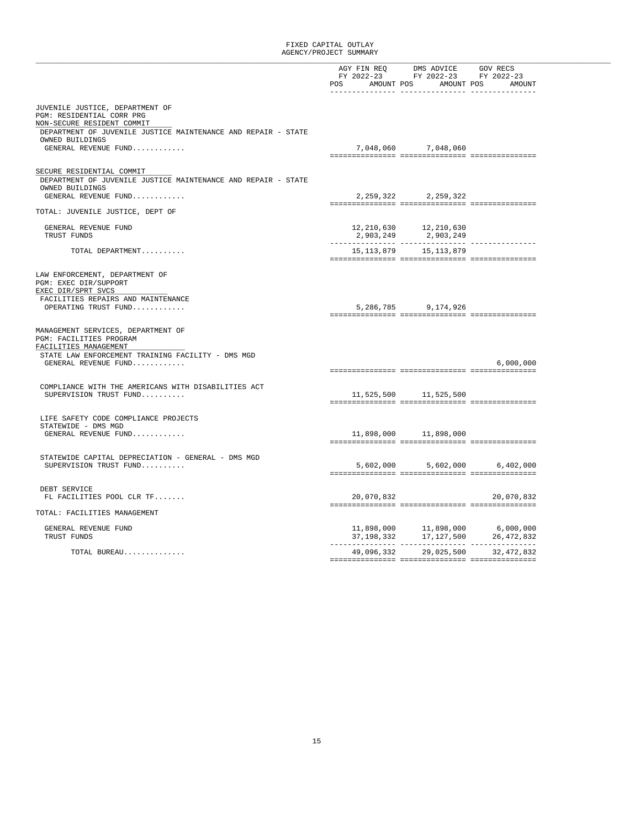|                                                                                                               |              | AGY FIN REQ DMS ADVICE GOV RECS<br>FY 2022-23 FY 2022-23 FY 2022-23                                                          |                                                                                                                                          |
|---------------------------------------------------------------------------------------------------------------|--------------|------------------------------------------------------------------------------------------------------------------------------|------------------------------------------------------------------------------------------------------------------------------------------|
|                                                                                                               |              |                                                                                                                              |                                                                                                                                          |
|                                                                                                               |              | POS AMOUNT POS AMOUNT POS                                                                                                    | AMOUNT                                                                                                                                   |
|                                                                                                               |              |                                                                                                                              |                                                                                                                                          |
| JUVENILE JUSTICE, DEPARTMENT OF<br>PGM: RESIDENTIAL CORR PRG                                                  |              |                                                                                                                              |                                                                                                                                          |
| NON-SECURE RESIDENT COMMIT                                                                                    |              |                                                                                                                              |                                                                                                                                          |
| DEPARTMENT OF JUVENILE JUSTICE MAINTENANCE AND REPAIR - STATE<br>OWNED BUILDINGS                              |              |                                                                                                                              |                                                                                                                                          |
| GENERAL REVENUE FUND                                                                                          |              | 7,048,060 7,048,060                                                                                                          |                                                                                                                                          |
|                                                                                                               |              |                                                                                                                              |                                                                                                                                          |
|                                                                                                               |              |                                                                                                                              |                                                                                                                                          |
| SECURE RESIDENTIAL COMMIT<br>DEPARTMENT OF JUVENILE JUSTICE MAINTENANCE AND REPAIR - STATE<br>OWNED BUILDINGS |              |                                                                                                                              |                                                                                                                                          |
| GENERAL REVENUE FUND                                                                                          |              | 2, 259, 322 2, 259, 322                                                                                                      |                                                                                                                                          |
|                                                                                                               |              |                                                                                                                              |                                                                                                                                          |
| TOTAL: JUVENILE JUSTICE, DEPT OF                                                                              |              |                                                                                                                              |                                                                                                                                          |
| GENERAL REVENUE FUND                                                                                          |              | 12, 210, 630 12, 210, 630                                                                                                    |                                                                                                                                          |
| TRUST FUNDS                                                                                                   |              | 2,903,249 2,903,249                                                                                                          |                                                                                                                                          |
|                                                                                                               |              |                                                                                                                              |                                                                                                                                          |
| TOTAL DEPARTMENT                                                                                              | 15, 113, 879 | 15,113,879                                                                                                                   |                                                                                                                                          |
|                                                                                                               |              |                                                                                                                              |                                                                                                                                          |
| LAW ENFORCEMENT, DEPARTMENT OF<br>PGM: EXEC DIR/SUPPORT<br>EXEC DIR/SPRT SVCS                                 |              |                                                                                                                              |                                                                                                                                          |
| FACILITIES REPAIRS AND MAINTENANCE                                                                            |              |                                                                                                                              |                                                                                                                                          |
| OPERATING TRUST FUND                                                                                          |              | 5,286,785 9,174,926                                                                                                          |                                                                                                                                          |
|                                                                                                               |              |                                                                                                                              |                                                                                                                                          |
| MANAGEMENT SERVICES, DEPARTMENT OF<br>PGM: FACILITIES PROGRAM<br>FACILITIES MANAGEMENT                        |              |                                                                                                                              |                                                                                                                                          |
| STATE LAW ENFORCEMENT TRAINING FACILITY - DMS MGD                                                             |              |                                                                                                                              |                                                                                                                                          |
| GENERAL REVENUE FUND                                                                                          |              |                                                                                                                              | 6,000,000                                                                                                                                |
|                                                                                                               |              |                                                                                                                              |                                                                                                                                          |
| COMPLIANCE WITH THE AMERICANS WITH DISABILITIES ACT<br>SUPERVISION TRUST FUND                                 | 11,525,500   | 11,525,500                                                                                                                   |                                                                                                                                          |
|                                                                                                               |              |                                                                                                                              |                                                                                                                                          |
| LIFE SAFETY CODE COMPLIANCE PROJECTS<br>STATEWIDE - DMS MGD                                                   |              |                                                                                                                              |                                                                                                                                          |
| GENERAL REVENUE FUND                                                                                          | 11,898,000   | 11,898,000                                                                                                                   |                                                                                                                                          |
|                                                                                                               |              |                                                                                                                              |                                                                                                                                          |
| STATEWIDE CAPITAL DEPRECIATION - GENERAL - DMS MGD                                                            |              |                                                                                                                              |                                                                                                                                          |
| SUPERVISION TRUST FUND                                                                                        |              | 5,602,000 5,602,000 6,402,000                                                                                                |                                                                                                                                          |
|                                                                                                               |              |                                                                                                                              |                                                                                                                                          |
| DEBT SERVICE                                                                                                  |              |                                                                                                                              |                                                                                                                                          |
| FL FACILITIES POOL CLR TF                                                                                     | 20,070,832   |                                                                                                                              | 20,070,832                                                                                                                               |
|                                                                                                               |              |                                                                                                                              |                                                                                                                                          |
| TOTAL: FACILITIES MANAGEMENT                                                                                  |              |                                                                                                                              |                                                                                                                                          |
| GENERAL REVENUE FUND                                                                                          |              |                                                                                                                              |                                                                                                                                          |
| TRUST FUNDS                                                                                                   |              | $11,898,000 \qquad \qquad 11,898,000 \qquad \qquad 6,000,000$ $37,198,332 \qquad \qquad 17,127,500 \qquad \qquad 26,472,832$ |                                                                                                                                          |
|                                                                                                               |              |                                                                                                                              | $\frac{1}{2} \left( \frac{1}{2} \right) = \frac{1}{2} \left( \frac{1}{2} \right) = \frac{1}{2} \left( \frac{1}{2} \right) = \frac{1}{2}$ |
| TOTAL BUREAU                                                                                                  |              | 49,096,332 29,025,500 32,472,832                                                                                             |                                                                                                                                          |
|                                                                                                               |              |                                                                                                                              |                                                                                                                                          |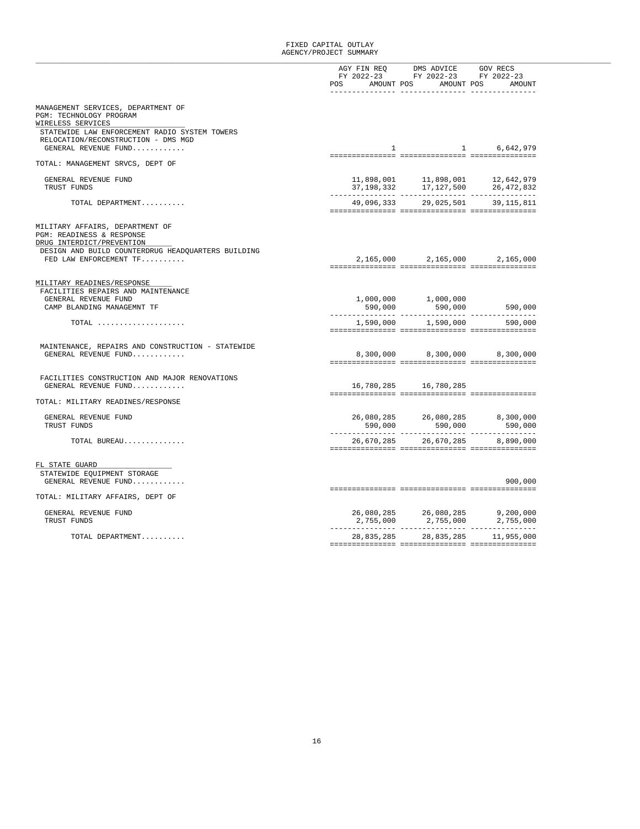|                                                                                           |              | AGY FIN REQ DMS ADVICE                                                                                                                                   | GOV RECS    |
|-------------------------------------------------------------------------------------------|--------------|----------------------------------------------------------------------------------------------------------------------------------------------------------|-------------|
|                                                                                           |              | FY 2022-23 FY 2022-23 FY 2022-23                                                                                                                         |             |
|                                                                                           | <b>POS</b>   | AMOUNT POS AMOUNT POS                                                                                                                                    | AMOUNT      |
|                                                                                           |              |                                                                                                                                                          |             |
| MANAGEMENT SERVICES, DEPARTMENT OF<br>PGM: TECHNOLOGY PROGRAM<br>WIRELESS SERVICES        |              |                                                                                                                                                          |             |
| STATEWIDE LAW ENFORCEMENT RADIO SYSTEM TOWERS<br>RELOCATION/RECONSTRUCTION - DMS MGD      |              |                                                                                                                                                          |             |
| GENERAL REVENUE FUND                                                                      | $\mathbf{1}$ |                                                                                                                                                          | 1 6,642,979 |
| TOTAL: MANAGEMENT SRVCS, DEPT OF                                                          |              |                                                                                                                                                          |             |
| GENERAL REVENUE FUND                                                                      |              |                                                                                                                                                          |             |
| TRUST FUNDS                                                                               |              | $\begin{array}{lllll} 11,898\,, 001 & & 11\,, 898\,, 001 & & 12\,, 642\,, 979 \\ 37\,, 198\,, 332 & & 17\,, 127\,, 500 & & 26\,, 472\,, 832 \end{array}$ |             |
|                                                                                           |              |                                                                                                                                                          |             |
| TOTAL DEPARTMENT                                                                          |              | 49,096,333 29,025,501 39,115,811                                                                                                                         |             |
|                                                                                           |              |                                                                                                                                                          |             |
| MILITARY AFFAIRS, DEPARTMENT OF<br>PGM: READINESS & RESPONSE<br>DRUG INTERDICT/PREVENTION |              |                                                                                                                                                          |             |
| DESIGN AND BUILD COUNTERDRUG HEADQUARTERS BUILDING                                        |              |                                                                                                                                                          |             |
| FED LAW ENFORCEMENT TF                                                                    |              | 2,165,000 2,165,000 2,165,000                                                                                                                            |             |
|                                                                                           |              |                                                                                                                                                          |             |
| MILITARY READINES/RESPONSE                                                                |              |                                                                                                                                                          |             |
| FACILITIES REPAIRS AND MAINTENANCE                                                        |              |                                                                                                                                                          |             |
| GENERAL REVENUE FUND                                                                      |              | 1,000,000 1,000,000                                                                                                                                      |             |
| CAMP BLANDING MANAGEMNT TF                                                                |              | 590,000 590,000                                                                                                                                          | 590,000     |
| TOTAL                                                                                     |              | 1,590,000 1,590,000                                                                                                                                      | 590,000     |
|                                                                                           |              |                                                                                                                                                          |             |
|                                                                                           |              |                                                                                                                                                          |             |
| MAINTENANCE, REPAIRS AND CONSTRUCTION - STATEWIDE                                         |              |                                                                                                                                                          |             |
| GENERAL REVENUE FUND                                                                      |              | 8,300,000 8,300,000 8,300,000                                                                                                                            |             |
|                                                                                           |              |                                                                                                                                                          |             |
| FACILITIES CONSTRUCTION AND MAJOR RENOVATIONS                                             |              |                                                                                                                                                          |             |
| GENERAL REVENUE FUND                                                                      |              | 16,780,285 16,780,285                                                                                                                                    |             |
| TOTAL: MILITARY READINES/RESPONSE                                                         |              |                                                                                                                                                          |             |
|                                                                                           |              |                                                                                                                                                          |             |
| GENERAL REVENUE FUND                                                                      |              | 26,080,285 26,080,285                                                                                                                                    | 8,300,000   |
| TRUST FUNDS                                                                               |              | 590,000 590,000 590,000                                                                                                                                  |             |
| TOTAL BUREAU                                                                              |              | 26,670,285 26,670,285 8,890,000                                                                                                                          |             |
|                                                                                           |              |                                                                                                                                                          |             |
|                                                                                           |              |                                                                                                                                                          |             |
| FL STATE GUARD                                                                            |              |                                                                                                                                                          |             |
| STATEWIDE EQUIPMENT STORAGE                                                               |              |                                                                                                                                                          |             |
| GENERAL REVENUE FUND                                                                      |              |                                                                                                                                                          | 900,000     |
| TOTAL: MILITARY AFFAIRS, DEPT OF                                                          |              |                                                                                                                                                          |             |
|                                                                                           |              |                                                                                                                                                          |             |
| GENERAL REVENUE FUND                                                                      |              |                                                                                                                                                          |             |
| TRUST FUNDS                                                                               |              | $\begin{array}{cccc} 26\,, 080\,, 285 & 26\,, 080\,, 285 & 9\,, 200\,, 000 \\ 2\,, 755\,, 000 & 2\,, 755\,, 000 & 2\,, 755\,, 000 \end{array}$           |             |
|                                                                                           |              |                                                                                                                                                          |             |
| TOTAL DEPARTMENT                                                                          |              | 28,835,285 28,835,285 11,955,000                                                                                                                         |             |
|                                                                                           |              |                                                                                                                                                          |             |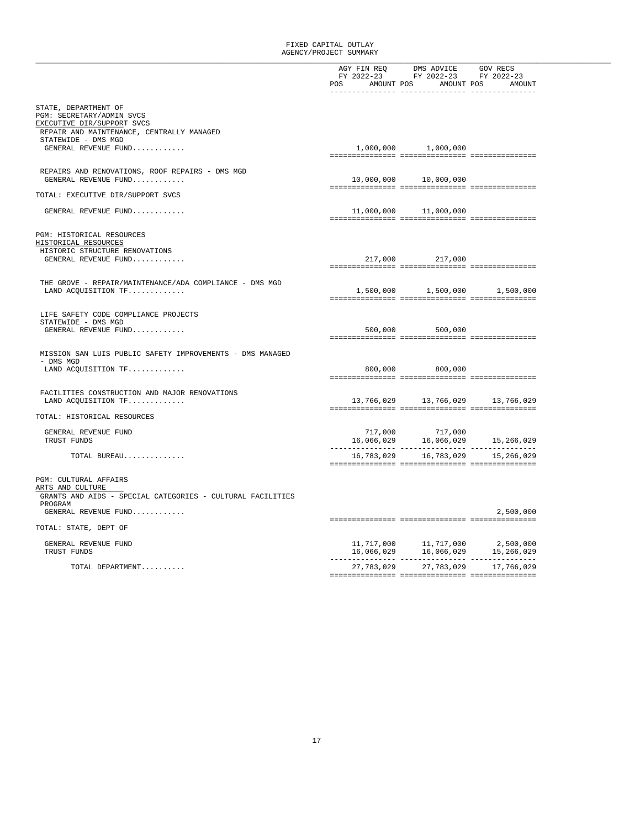|                                                                                                                              |                         | AGY FIN REQ DMS ADVICE GOV RECS<br>FY 2022-23 FY 2022-23 FY 2022-23<br>POS AMOUNT POS AMOUNT POS AMOUNT<br>-------------- --------------- ------ |                         |
|------------------------------------------------------------------------------------------------------------------------------|-------------------------|--------------------------------------------------------------------------------------------------------------------------------------------------|-------------------------|
| STATE, DEPARTMENT OF<br>PGM: SECRETARY/ADMIN SVCS<br>EXECUTIVE DIR/SUPPORT SVCS<br>REPAIR AND MAINTENANCE, CENTRALLY MANAGED |                         |                                                                                                                                                  |                         |
| STATEWIDE - DMS MGD<br>GENERAL REVENUE FUND                                                                                  |                         | 1,000,000 1,000,000                                                                                                                              |                         |
| REPAIRS AND RENOVATIONS, ROOF REPAIRS - DMS MGD<br>GENERAL REVENUE FUND                                                      |                         | 10,000,000 10,000,000                                                                                                                            |                         |
| TOTAL: EXECUTIVE DIR/SUPPORT SVCS                                                                                            |                         |                                                                                                                                                  |                         |
| GENERAL REVENUE FUND                                                                                                         |                         | 11,000,000 11,000,000                                                                                                                            |                         |
| PGM: HISTORICAL RESOURCES<br>HISTORICAL RESOURCES                                                                            |                         |                                                                                                                                                  |                         |
| HISTORIC STRUCTURE RENOVATIONS<br>GENERAL REVENUE FUND                                                                       |                         | 217,000 217,000                                                                                                                                  |                         |
| THE GROVE - REPAIR/MAINTENANCE/ADA COMPLIANCE - DMS MGD<br>LAND ACQUISITION TF                                               |                         | 1,500,000 1,500,000 1,500,000                                                                                                                    |                         |
| LIFE SAFETY CODE COMPLIANCE PROJECTS<br>STATEWIDE - DMS MGD                                                                  |                         |                                                                                                                                                  |                         |
| GENERAL REVENUE FUND                                                                                                         |                         | 500,000 500,000                                                                                                                                  |                         |
| MISSION SAN LUIS PUBLIC SAFETY IMPROVEMENTS - DMS MANAGED<br>- DMS MGD                                                       |                         |                                                                                                                                                  |                         |
| LAND ACQUISITION TF                                                                                                          |                         | 800,000 800,000                                                                                                                                  |                         |
| FACILITIES CONSTRUCTION AND MAJOR RENOVATIONS<br>LAND ACOUISITION TF                                                         |                         | 13,766,029 13,766,029                                                                                                                            | 13,766,029              |
| TOTAL: HISTORICAL RESOURCES                                                                                                  |                         |                                                                                                                                                  |                         |
| GENERAL REVENUE FUND<br>TRUST FUNDS                                                                                          |                         | 717,000 717,000<br>16,066,029 16,066,029 15,266,029                                                                                              |                         |
| TOTAL BUREAU                                                                                                                 | 16,783,029              | 16,783,029                                                                                                                                       | 15,266,029              |
| <b>PGM: CULTURAL AFFAIRS</b><br>ARTS AND CULTURE                                                                             |                         |                                                                                                                                                  |                         |
| GRANTS AND AIDS - SPECIAL CATEGORIES - CULTURAL FACILITIES<br>PROGRAM<br>GENERAL REVENUE FUND                                |                         |                                                                                                                                                  | 2,500,000               |
| TOTAL: STATE, DEPT OF                                                                                                        |                         |                                                                                                                                                  |                         |
| GENERAL REVENUE FUND<br>TRUST FUNDS                                                                                          |                         | 11,717,000 11,717,000<br>16,066,029 16,066,029                                                                                                   | 2,500,000<br>15,266,029 |
| TOTAL DEPARTMENT                                                                                                             | ---------------- ------ | 27, 783, 029 27, 783, 029 17, 766, 029                                                                                                           |                         |
|                                                                                                                              |                         |                                                                                                                                                  |                         |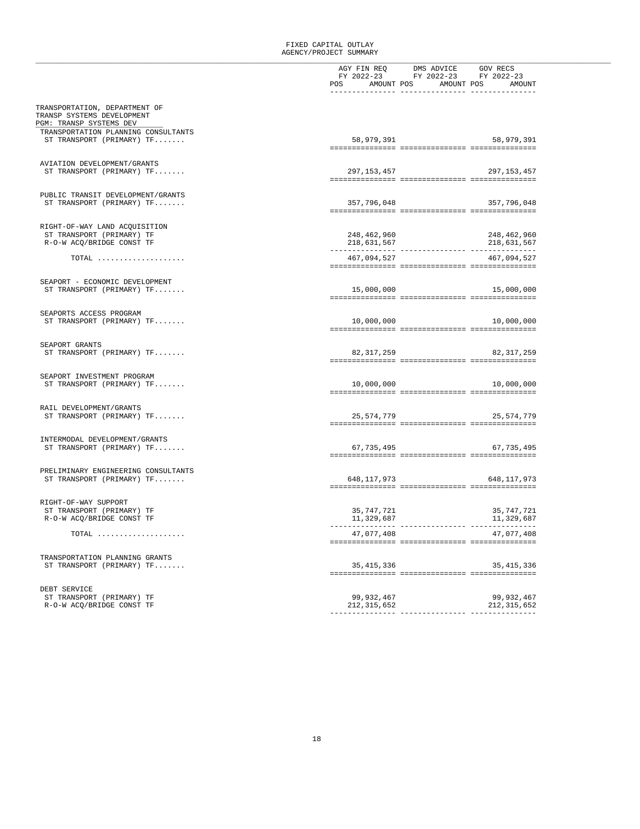|                                     | AGY FIN REQ DMS ADVICE GOV RECS                                                                                                                                                                                                                                                                                                                                                                                       |
|-------------------------------------|-----------------------------------------------------------------------------------------------------------------------------------------------------------------------------------------------------------------------------------------------------------------------------------------------------------------------------------------------------------------------------------------------------------------------|
|                                     | FY 2022-23 FY 2022-23 FY 2022-23                                                                                                                                                                                                                                                                                                                                                                                      |
|                                     | AMOUNT POS AMOUNT POS AMOUNT<br>POS                                                                                                                                                                                                                                                                                                                                                                                   |
|                                     |                                                                                                                                                                                                                                                                                                                                                                                                                       |
|                                     |                                                                                                                                                                                                                                                                                                                                                                                                                       |
| TRANSPORTATION, DEPARTMENT OF       |                                                                                                                                                                                                                                                                                                                                                                                                                       |
| TRANSP SYSTEMS DEVELOPMENT          |                                                                                                                                                                                                                                                                                                                                                                                                                       |
| PGM: TRANSP SYSTEMS DEV             |                                                                                                                                                                                                                                                                                                                                                                                                                       |
| TRANSPORTATION PLANNING CONSULTANTS |                                                                                                                                                                                                                                                                                                                                                                                                                       |
| ST TRANSPORT (PRIMARY) TF           | 58,979,391<br>58,979,391                                                                                                                                                                                                                                                                                                                                                                                              |
|                                     |                                                                                                                                                                                                                                                                                                                                                                                                                       |
|                                     |                                                                                                                                                                                                                                                                                                                                                                                                                       |
|                                     |                                                                                                                                                                                                                                                                                                                                                                                                                       |
| AVIATION DEVELOPMENT/GRANTS         |                                                                                                                                                                                                                                                                                                                                                                                                                       |
| ST TRANSPORT (PRIMARY) TF           | 297,153,457<br>297,153,457                                                                                                                                                                                                                                                                                                                                                                                            |
|                                     | $\verb c  = \verb c  + \verb c  + \verb c  + \verb c  + \verb c  + \verb c  + \verb c  + \verb c  + \verb c  + \verb c  + \verb c  + \verb c  + \verb c  + \verb c  + \verb c  + \verb c  + \verb c  + \verb c  + \verb c  + \verb c  + \verb c  + \verb c  + \verb c  + \verb c  + \verb c  + \verb c  + \verb c  + \verb c  + \verb c  + \verb c  + \verb c  + \verb c  + \verb c  + \verb c  + \verb c  + \verb c$ |
|                                     |                                                                                                                                                                                                                                                                                                                                                                                                                       |
| PUBLIC TRANSIT DEVELOPMENT/GRANTS   |                                                                                                                                                                                                                                                                                                                                                                                                                       |
| ST TRANSPORT (PRIMARY) TF           | 357,796,048<br>357,796,048                                                                                                                                                                                                                                                                                                                                                                                            |
|                                     |                                                                                                                                                                                                                                                                                                                                                                                                                       |
|                                     |                                                                                                                                                                                                                                                                                                                                                                                                                       |
| RIGHT-OF-WAY LAND ACQUISITION       |                                                                                                                                                                                                                                                                                                                                                                                                                       |
| ST TRANSPORT (PRIMARY) TF           | 248,462,960<br>248,462,960                                                                                                                                                                                                                                                                                                                                                                                            |
| R-O-W ACQ/BRIDGE CONST TF           | 218,631,567<br>218,631,567                                                                                                                                                                                                                                                                                                                                                                                            |
|                                     |                                                                                                                                                                                                                                                                                                                                                                                                                       |
|                                     |                                                                                                                                                                                                                                                                                                                                                                                                                       |
| TOTAL                               | 467,094,527<br>467,094,527                                                                                                                                                                                                                                                                                                                                                                                            |
|                                     |                                                                                                                                                                                                                                                                                                                                                                                                                       |
|                                     |                                                                                                                                                                                                                                                                                                                                                                                                                       |
| SEAPORT - ECONOMIC DEVELOPMENT      |                                                                                                                                                                                                                                                                                                                                                                                                                       |
| ST TRANSPORT (PRIMARY) TF           | 15,000,000                                                                                                                                                                                                                                                                                                                                                                                                            |
|                                     |                                                                                                                                                                                                                                                                                                                                                                                                                       |
|                                     |                                                                                                                                                                                                                                                                                                                                                                                                                       |
| SEAPORTS ACCESS PROGRAM             |                                                                                                                                                                                                                                                                                                                                                                                                                       |
|                                     | 10,000,000<br>10,000,000                                                                                                                                                                                                                                                                                                                                                                                              |
| ST TRANSPORT (PRIMARY) TF           |                                                                                                                                                                                                                                                                                                                                                                                                                       |
|                                     |                                                                                                                                                                                                                                                                                                                                                                                                                       |
|                                     |                                                                                                                                                                                                                                                                                                                                                                                                                       |
| SEAPORT GRANTS                      |                                                                                                                                                                                                                                                                                                                                                                                                                       |
| ST TRANSPORT (PRIMARY) TF           | 82, 317, 259<br>82, 317, 259                                                                                                                                                                                                                                                                                                                                                                                          |
|                                     |                                                                                                                                                                                                                                                                                                                                                                                                                       |
|                                     |                                                                                                                                                                                                                                                                                                                                                                                                                       |
| SEAPORT INVESTMENT PROGRAM          |                                                                                                                                                                                                                                                                                                                                                                                                                       |
| ST TRANSPORT (PRIMARY) TF           | 10,000,000<br>10,000,000                                                                                                                                                                                                                                                                                                                                                                                              |
|                                     |                                                                                                                                                                                                                                                                                                                                                                                                                       |
|                                     |                                                                                                                                                                                                                                                                                                                                                                                                                       |
| RAIL DEVELOPMENT/GRANTS             |                                                                                                                                                                                                                                                                                                                                                                                                                       |
| ST TRANSPORT (PRIMARY) TF           | 25, 574, 779<br>25,574,779                                                                                                                                                                                                                                                                                                                                                                                            |
|                                     |                                                                                                                                                                                                                                                                                                                                                                                                                       |
|                                     |                                                                                                                                                                                                                                                                                                                                                                                                                       |
|                                     |                                                                                                                                                                                                                                                                                                                                                                                                                       |
| INTERMODAL DEVELOPMENT/GRANTS       |                                                                                                                                                                                                                                                                                                                                                                                                                       |
| ST TRANSPORT (PRIMARY) TF           | 67, 735, 495 67, 735, 495                                                                                                                                                                                                                                                                                                                                                                                             |
|                                     |                                                                                                                                                                                                                                                                                                                                                                                                                       |
|                                     |                                                                                                                                                                                                                                                                                                                                                                                                                       |
| PRELIMINARY ENGINEERING CONSULTANTS |                                                                                                                                                                                                                                                                                                                                                                                                                       |
| ST TRANSPORT (PRIMARY) TF           | 648, 117, 973<br>648,117,973                                                                                                                                                                                                                                                                                                                                                                                          |
|                                     |                                                                                                                                                                                                                                                                                                                                                                                                                       |
|                                     |                                                                                                                                                                                                                                                                                                                                                                                                                       |
| RIGHT-OF-WAY SUPPORT                |                                                                                                                                                                                                                                                                                                                                                                                                                       |
|                                     |                                                                                                                                                                                                                                                                                                                                                                                                                       |
| ST TRANSPORT (PRIMARY) TF           | 35,747,721<br>35,747,721                                                                                                                                                                                                                                                                                                                                                                                              |
| R-O-W ACQ/BRIDGE CONST TF           | 11,329,687<br>11,329,687                                                                                                                                                                                                                                                                                                                                                                                              |
|                                     |                                                                                                                                                                                                                                                                                                                                                                                                                       |
| TOTAL                               | 47,077,408<br>47,077,408                                                                                                                                                                                                                                                                                                                                                                                              |
|                                     |                                                                                                                                                                                                                                                                                                                                                                                                                       |
|                                     |                                                                                                                                                                                                                                                                                                                                                                                                                       |
| TRANSPORTATION PLANNING GRANTS      |                                                                                                                                                                                                                                                                                                                                                                                                                       |
| ST TRANSPORT (PRIMARY) TF           | 35, 415, 336<br>35, 415, 336                                                                                                                                                                                                                                                                                                                                                                                          |
|                                     |                                                                                                                                                                                                                                                                                                                                                                                                                       |
|                                     |                                                                                                                                                                                                                                                                                                                                                                                                                       |
|                                     |                                                                                                                                                                                                                                                                                                                                                                                                                       |
| DEBT SERVICE                        |                                                                                                                                                                                                                                                                                                                                                                                                                       |
| ST TRANSPORT (PRIMARY) TF           | 99, 932, 467<br>99,932,467                                                                                                                                                                                                                                                                                                                                                                                            |
| R-O-W ACO/BRIDGE CONST TF           | 212, 315, 652<br>212, 315, 652                                                                                                                                                                                                                                                                                                                                                                                        |
|                                     |                                                                                                                                                                                                                                                                                                                                                                                                                       |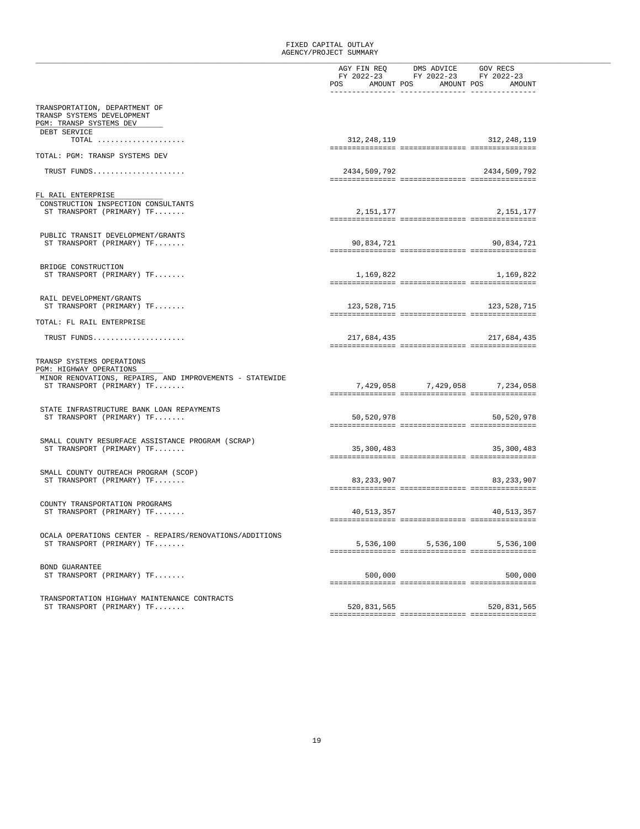|                                                                                                                  |              | AGY FIN REQ DMS ADVICE GOV RECS  |  |
|------------------------------------------------------------------------------------------------------------------|--------------|----------------------------------|--|
|                                                                                                                  |              | FY 2022-23 FY 2022-23 FY 2022-23 |  |
|                                                                                                                  |              | POS AMOUNT POS AMOUNT POS AMOUNT |  |
|                                                                                                                  |              |                                  |  |
|                                                                                                                  |              |                                  |  |
| TRANSPORTATION, DEPARTMENT OF                                                                                    |              |                                  |  |
| TRANSP SYSTEMS DEVELOPMENT                                                                                       |              |                                  |  |
| PGM: TRANSP SYSTEMS DEV                                                                                          |              |                                  |  |
| DEBT SERVICE                                                                                                     |              |                                  |  |
| $TOTAL$                                                                                                          | 312,248,119  | 312,248,119                      |  |
|                                                                                                                  |              |                                  |  |
| TOTAL: PGM: TRANSP SYSTEMS DEV                                                                                   |              |                                  |  |
|                                                                                                                  |              |                                  |  |
| TRUST FUNDS                                                                                                      | 2434,509,792 | 2434,509,792                     |  |
|                                                                                                                  |              |                                  |  |
|                                                                                                                  |              |                                  |  |
| FL RAIL ENTERPRISE                                                                                               |              |                                  |  |
|                                                                                                                  |              |                                  |  |
| CONSTRUCTION INSPECTION CONSULTANTS                                                                              |              |                                  |  |
| ST TRANSPORT (PRIMARY) TF                                                                                        |              | 2, 151, 177<br>2,151,177         |  |
|                                                                                                                  |              |                                  |  |
|                                                                                                                  |              |                                  |  |
| PUBLIC TRANSIT DEVELOPMENT/GRANTS                                                                                |              |                                  |  |
| ST TRANSPORT (PRIMARY) TF                                                                                        |              | 90,834,721<br>90,834,721         |  |
|                                                                                                                  |              |                                  |  |
|                                                                                                                  |              |                                  |  |
| BRIDGE CONSTRUCTION                                                                                              |              |                                  |  |
| ST TRANSPORT (PRIMARY) TF                                                                                        |              | 1, 169, 822<br>1,169,822         |  |
|                                                                                                                  |              |                                  |  |
|                                                                                                                  |              |                                  |  |
| RAIL DEVELOPMENT/GRANTS                                                                                          |              |                                  |  |
| ST TRANSPORT (PRIMARY) TF                                                                                        | 123,528,715  | 123, 528, 715                    |  |
|                                                                                                                  |              |                                  |  |
| TOTAL: FL RAIL ENTERPRISE                                                                                        |              |                                  |  |
|                                                                                                                  |              |                                  |  |
| TRUST FUNDS                                                                                                      |              | 217,684,435<br>217,684,435       |  |
|                                                                                                                  |              |                                  |  |
| TRANSP SYSTEMS OPERATIONS<br>PGM: HIGHWAY OPERATIONS<br>MINOR RENOVATIONS, REPAIRS, AND IMPROVEMENTS - STATEWIDE |              |                                  |  |
| ST TRANSPORT (PRIMARY) TF                                                                                        |              | 7,429,058 7,429,058 7,234,058    |  |
|                                                                                                                  |              |                                  |  |
|                                                                                                                  |              |                                  |  |
| STATE INFRASTRUCTURE BANK LOAN REPAYMENTS                                                                        |              |                                  |  |
| ST TRANSPORT (PRIMARY) TF                                                                                        | 50,520,978   | 50,520,978                       |  |
|                                                                                                                  |              |                                  |  |
|                                                                                                                  |              |                                  |  |
| SMALL COUNTY RESURFACE ASSISTANCE PROGRAM (SCRAP)                                                                |              |                                  |  |
| ST TRANSPORT (PRIMARY) TF                                                                                        |              | 35,300,483<br>35,300,483         |  |
|                                                                                                                  |              |                                  |  |
|                                                                                                                  |              |                                  |  |
| SMALL COUNTY OUTREACH PROGRAM (SCOP)                                                                             |              |                                  |  |
|                                                                                                                  |              | 83, 233, 907                     |  |
| ST TRANSPORT (PRIMARY) TF                                                                                        |              | 83,233,907                       |  |
|                                                                                                                  |              |                                  |  |
|                                                                                                                  |              |                                  |  |
| COUNTY TRANSPORTATION PROGRAMS                                                                                   |              |                                  |  |
| ST TRANSPORT (PRIMARY) TF                                                                                        |              | 40, 513, 357<br>40,513,357       |  |
|                                                                                                                  |              |                                  |  |
|                                                                                                                  |              |                                  |  |
| OCALA OPERATIONS CENTER - REPAIRS/RENOVATIONS/ADDITIONS                                                          |              |                                  |  |
| ST TRANSPORT (PRIMARY) TF                                                                                        | 5,536,100    | 5,536,100<br>5,536,100           |  |
|                                                                                                                  |              |                                  |  |
|                                                                                                                  |              |                                  |  |
| BOND GUARANTEE                                                                                                   |              |                                  |  |
| ST TRANSPORT (PRIMARY) TF                                                                                        | 500,000      | 500,000                          |  |
|                                                                                                                  |              |                                  |  |
|                                                                                                                  |              |                                  |  |
| TRANSPORTATION HIGHWAY MAINTENANCE CONTRACTS                                                                     |              |                                  |  |
| ST TRANSPORT (PRIMARY) TF                                                                                        | 520,831,565  | 520,831,565                      |  |
|                                                                                                                  |              |                                  |  |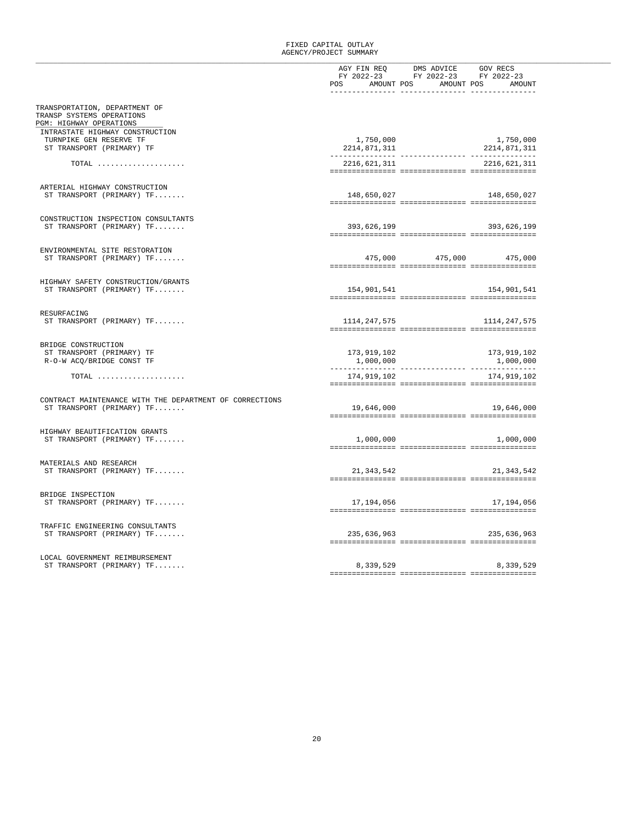|                                                         | AGY FIN REQ DMS ADVICE GOV RECS<br>FY 2022-23 FY 2022-23 FY 2022-23 |                         |  |
|---------------------------------------------------------|---------------------------------------------------------------------|-------------------------|--|
|                                                         |                                                                     |                         |  |
|                                                         | POS AMOUNT POS AMOUNT POS AMOUNT                                    |                         |  |
|                                                         |                                                                     |                         |  |
|                                                         |                                                                     |                         |  |
| TRANSPORTATION, DEPARTMENT OF                           |                                                                     |                         |  |
| TRANSP SYSTEMS OPERATIONS                               |                                                                     |                         |  |
| PGM: HIGHWAY OPERATIONS                                 |                                                                     |                         |  |
|                                                         |                                                                     |                         |  |
| INTRASTATE HIGHWAY CONSTRUCTION                         |                                                                     |                         |  |
| TURNPIKE GEN RESERVE TF                                 | 1,750,000                                                           | 1,750,000               |  |
| ST TRANSPORT (PRIMARY) TF                               | 2214,871,311                                                        | 2214,871,311            |  |
|                                                         |                                                                     |                         |  |
| TOTAL                                                   | 2216,621,311                                                        | 2216,621,311            |  |
|                                                         |                                                                     |                         |  |
|                                                         |                                                                     |                         |  |
|                                                         |                                                                     |                         |  |
| ARTERIAL HIGHWAY CONSTRUCTION                           |                                                                     |                         |  |
| ST TRANSPORT (PRIMARY) TF                               | 148,650,027                                                         | 148,650,027             |  |
|                                                         |                                                                     |                         |  |
|                                                         |                                                                     |                         |  |
| CONSTRUCTION INSPECTION CONSULTANTS                     |                                                                     |                         |  |
| ST TRANSPORT (PRIMARY) TF                               | 393,626,199                                                         | 393,626,199             |  |
|                                                         |                                                                     |                         |  |
|                                                         |                                                                     |                         |  |
|                                                         |                                                                     |                         |  |
| ENVIRONMENTAL SITE RESTORATION                          |                                                                     |                         |  |
| ST TRANSPORT (PRIMARY) TF                               |                                                                     | 475,000 475,000 475,000 |  |
|                                                         |                                                                     |                         |  |
|                                                         |                                                                     |                         |  |
|                                                         |                                                                     |                         |  |
| HIGHWAY SAFETY CONSTRUCTION/GRANTS                      |                                                                     |                         |  |
| ST TRANSPORT (PRIMARY) TF                               | 154,901,541                                                         | 154,901,541             |  |
|                                                         |                                                                     |                         |  |
|                                                         |                                                                     |                         |  |
| RESURFACING                                             |                                                                     |                         |  |
| ST TRANSPORT (PRIMARY) TF                               | 1114,247,575                                                        | 1114,247,575            |  |
|                                                         |                                                                     |                         |  |
|                                                         |                                                                     |                         |  |
|                                                         |                                                                     |                         |  |
| BRIDGE CONSTRUCTION                                     |                                                                     |                         |  |
| ST TRANSPORT (PRIMARY) TF                               | 173,919,102                                                         | 173,919,102             |  |
| R-O-W ACO/BRIDGE CONST TF                               | 1,000,000                                                           | 1,000,000               |  |
|                                                         |                                                                     |                         |  |
|                                                         |                                                                     |                         |  |
| $\texttt{TOTAL}$                                        | 174,919,102                                                         | 174,919,102             |  |
|                                                         |                                                                     |                         |  |
|                                                         |                                                                     |                         |  |
| CONTRACT MAINTENANCE WITH THE DEPARTMENT OF CORRECTIONS |                                                                     |                         |  |
| ST TRANSPORT (PRIMARY) TF                               | 19,646,000                                                          | 19,646,000              |  |
|                                                         |                                                                     |                         |  |
|                                                         |                                                                     |                         |  |
|                                                         |                                                                     |                         |  |
| HIGHWAY BEAUTIFICATION GRANTS                           |                                                                     |                         |  |
| ST TRANSPORT (PRIMARY) TF                               | 1,000,000                                                           | 1,000,000               |  |
|                                                         |                                                                     |                         |  |
|                                                         |                                                                     |                         |  |
| MATERIALS AND RESEARCH                                  |                                                                     |                         |  |
|                                                         |                                                                     |                         |  |
| ST TRANSPORT (PRIMARY) TF                               | 21,343,542                                                          | 21, 343, 542            |  |
|                                                         |                                                                     |                         |  |
|                                                         |                                                                     |                         |  |
| BRIDGE INSPECTION                                       |                                                                     |                         |  |
| ST TRANSPORT (PRIMARY) TF                               | 17,194,056                                                          | 17,194,056              |  |
|                                                         |                                                                     |                         |  |
|                                                         |                                                                     |                         |  |
|                                                         |                                                                     |                         |  |
| TRAFFIC ENGINEERING CONSULTANTS                         |                                                                     |                         |  |
| ST TRANSPORT (PRIMARY) TF                               | 235,636,963                                                         | 235,636,963             |  |
|                                                         |                                                                     |                         |  |
|                                                         |                                                                     |                         |  |
|                                                         |                                                                     |                         |  |
| LOCAL GOVERNMENT REIMBURSEMENT                          |                                                                     |                         |  |
| ST TRANSPORT (PRIMARY) TF                               | 8,339,529                                                           | 8,339,529               |  |
|                                                         |                                                                     |                         |  |
|                                                         |                                                                     |                         |  |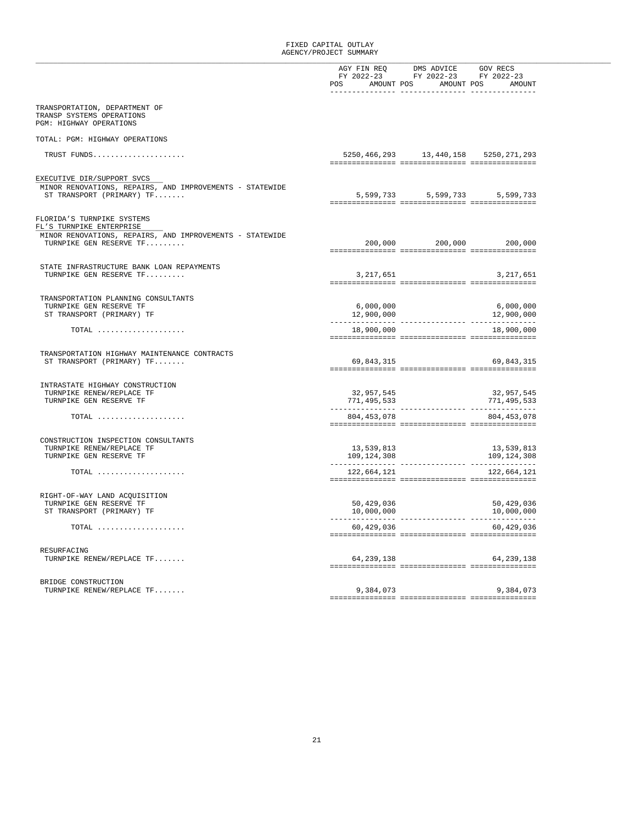|                                                                                                                       |                                  | AGY FIN REQ DMS ADVICE GOV RECS<br>FY 2022-23 FY 2022-23 FY 2022-23 |                                            |  |
|-----------------------------------------------------------------------------------------------------------------------|----------------------------------|---------------------------------------------------------------------|--------------------------------------------|--|
|                                                                                                                       | POS AMOUNT POS AMOUNT POS AMOUNT |                                                                     |                                            |  |
|                                                                                                                       |                                  |                                                                     |                                            |  |
| TRANSPORTATION, DEPARTMENT OF<br>TRANSP SYSTEMS OPERATIONS<br>PGM: HIGHWAY OPERATIONS                                 |                                  |                                                                     |                                            |  |
| TOTAL: PGM: HIGHWAY OPERATIONS                                                                                        |                                  |                                                                     |                                            |  |
| TRUST FUNDS                                                                                                           |                                  |                                                                     | 5250, 466, 293 13, 440, 158 5250, 271, 293 |  |
|                                                                                                                       |                                  |                                                                     |                                            |  |
|                                                                                                                       |                                  |                                                                     |                                            |  |
| EXECUTIVE DIR/SUPPORT SVCS<br>MINOR RENOVATIONS, REPAIRS, AND IMPROVEMENTS - STATEWIDE<br>ST TRANSPORT (PRIMARY) $TF$ |                                  |                                                                     | 5,599,733 5,599,733 5,599,733              |  |
| FLORIDA'S TURNPIKE SYSTEMS                                                                                            |                                  |                                                                     |                                            |  |
| FL'S TURNPIKE ENTERPRISE                                                                                              |                                  |                                                                     |                                            |  |
| MINOR RENOVATIONS, REPAIRS, AND IMPROVEMENTS - STATEWIDE<br>TURNPIKE GEN RESERVE TF                                   |                                  |                                                                     | 200,000 200,000 200,000                    |  |
|                                                                                                                       |                                  |                                                                     |                                            |  |
| STATE INFRASTRUCTURE BANK LOAN REPAYMENTS                                                                             |                                  |                                                                     |                                            |  |
| TURNPIKE GEN RESERVE TF                                                                                               | 3,217,651                        |                                                                     | 3,217,651                                  |  |
|                                                                                                                       |                                  |                                                                     |                                            |  |
| TRANSPORTATION PLANNING CONSULTANTS                                                                                   |                                  |                                                                     |                                            |  |
| TURNPIKE GEN RESERVE TF                                                                                               | 6,000,000                        |                                                                     | 6,000,000                                  |  |
| ST TRANSPORT (PRIMARY) TF                                                                                             | 12,900,000                       |                                                                     | 12,900,000                                 |  |
| TOTAL                                                                                                                 | 18,900,000                       |                                                                     | 18,900,000                                 |  |
|                                                                                                                       |                                  |                                                                     |                                            |  |
|                                                                                                                       |                                  |                                                                     |                                            |  |
| TRANSPORTATION HIGHWAY MAINTENANCE CONTRACTS<br>ST TRANSPORT (PRIMARY) TF                                             | 69,843,315                       |                                                                     | 69,843,315                                 |  |
|                                                                                                                       |                                  |                                                                     |                                            |  |
|                                                                                                                       |                                  |                                                                     |                                            |  |
| INTRASTATE HIGHWAY CONSTRUCTION<br>TURNPIKE RENEW/REPLACE TF                                                          | 32,957,545                       |                                                                     | 32,957,545                                 |  |
| TURNPIKE GEN RESERVE TF                                                                                               | 771,495,533                      |                                                                     | 771,495,533                                |  |
|                                                                                                                       |                                  |                                                                     |                                            |  |
| $\texttt{TOTAL} \quad \ldots \quad \ldots \quad \ldots \quad \ldots \quad \ldots \quad \ldots \quad \ldots$           | 804, 453, 078                    |                                                                     | 804, 453, 078                              |  |
|                                                                                                                       |                                  |                                                                     |                                            |  |
| CONSTRUCTION INSPECTION CONSULTANTS                                                                                   |                                  |                                                                     |                                            |  |
| TURNPIKE RENEW/REPLACE TF                                                                                             | 13,539,813                       |                                                                     | 13,539,813                                 |  |
| TURNPIKE GEN RESERVE TF                                                                                               | 109,124,308                      |                                                                     | 109,124,308                                |  |
|                                                                                                                       |                                  |                                                                     |                                            |  |
| $\texttt{TOTAL} \quad \ldots \quad \ldots \quad \ldots \quad \ldots \quad \ldots \quad \ldots \quad \ldots$           | 122,664,121                      |                                                                     | 122,664,121                                |  |
|                                                                                                                       |                                  |                                                                     |                                            |  |
| RIGHT-OF-WAY LAND ACQUISITION                                                                                         |                                  |                                                                     |                                            |  |
| TURNPIKE GEN RESERVE TF                                                                                               | 50,429,036                       |                                                                     | 50,429,036                                 |  |
| ST TRANSPORT (PRIMARY) TF                                                                                             | 10,000,000                       |                                                                     | 10,000,000                                 |  |
| $\texttt{TOTAL} \quad \ldots \quad \ldots \quad \ldots \quad \ldots \quad \ldots \quad \ldots \quad \ldots$           | 60,429,036                       |                                                                     | 60,429,036                                 |  |
|                                                                                                                       |                                  |                                                                     |                                            |  |
|                                                                                                                       |                                  |                                                                     |                                            |  |
| RESURFACING<br>TURNPIKE RENEW/REPLACE TF                                                                              | 64,239,138                       |                                                                     | 64, 239, 138                               |  |
|                                                                                                                       |                                  |                                                                     |                                            |  |
|                                                                                                                       |                                  |                                                                     |                                            |  |
| BRIDGE CONSTRUCTION                                                                                                   |                                  |                                                                     |                                            |  |
| TURNPIKE RENEW/REPLACE TF                                                                                             | 9,384,073                        |                                                                     | 9,384,073                                  |  |
|                                                                                                                       |                                  |                                                                     |                                            |  |